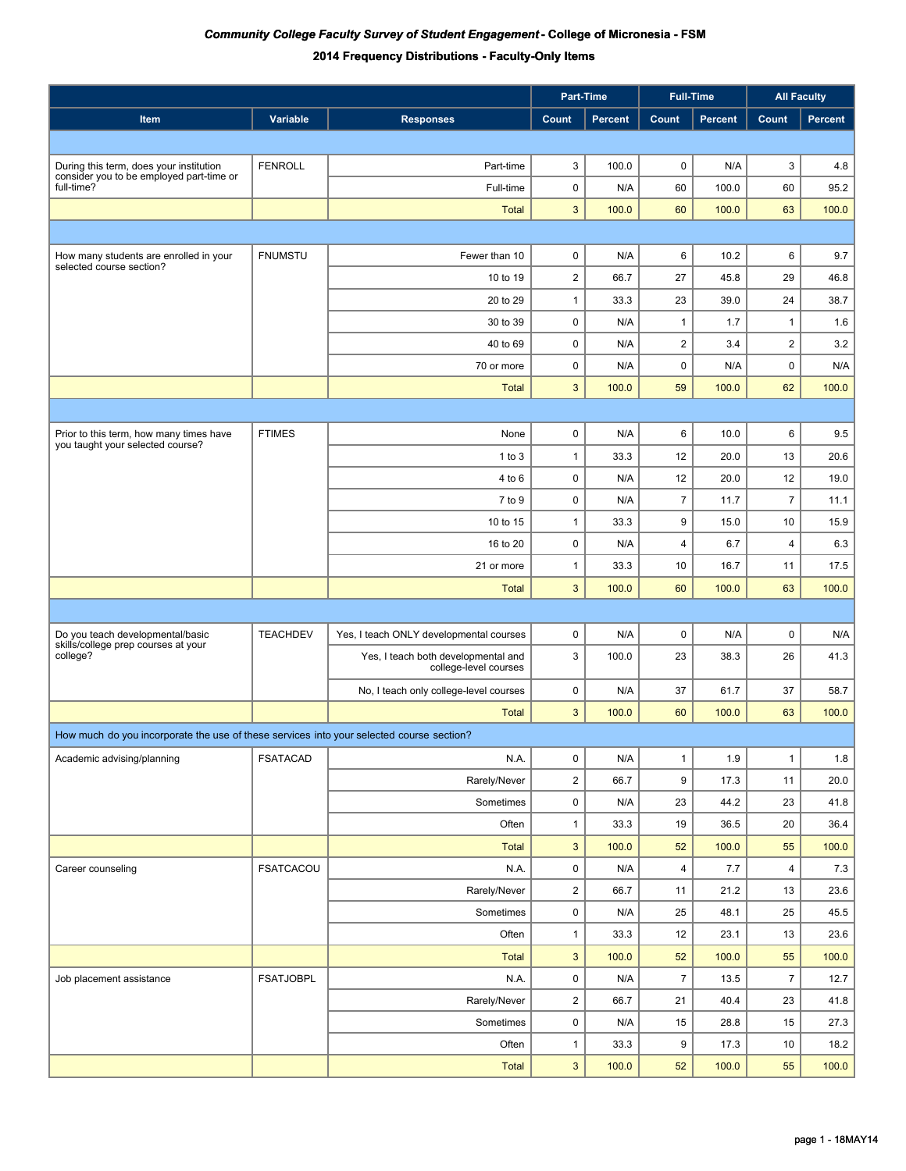|                                                                                          |                  |                                                              | Part-Time               |                |                         | <b>Full-Time</b> | <b>All Faculty</b> |                |
|------------------------------------------------------------------------------------------|------------------|--------------------------------------------------------------|-------------------------|----------------|-------------------------|------------------|--------------------|----------------|
| Item                                                                                     | Variable         | <b>Responses</b>                                             | Count                   | <b>Percent</b> | Count                   | <b>Percent</b>   | Count              | <b>Percent</b> |
|                                                                                          |                  |                                                              |                         |                |                         |                  |                    |                |
| During this term, does your institution                                                  | <b>FENROLL</b>   | Part-time                                                    | 3                       | 100.0          | 0                       | N/A              | 3                  | 4.8            |
| consider you to be employed part-time or<br>full-time?                                   |                  | Full-time                                                    | 0                       | N/A            | 60                      | 100.0            | 60                 | 95.2           |
|                                                                                          |                  | <b>Total</b>                                                 | $\mathbf{3}$            | 100.0          | 60                      | 100.0            | 63                 | 100.0          |
|                                                                                          |                  |                                                              |                         |                |                         |                  |                    |                |
| How many students are enrolled in your                                                   | <b>FNUMSTU</b>   | Fewer than 10                                                | $\pmb{0}$               | N/A            | 6                       | 10.2             | 6                  | 9.7            |
| selected course section?                                                                 |                  | 10 to 19                                                     | $\boldsymbol{2}$        | 66.7           | 27                      | 45.8             | 29                 | 46.8           |
|                                                                                          |                  | 20 to 29                                                     | $\mathbf{1}$            | 33.3           | 23                      | 39.0             | 24                 | 38.7           |
|                                                                                          |                  | 30 to 39                                                     | $\pmb{0}$               | N/A            | 1                       | 1.7              | $\mathbf{1}$       | 1.6            |
|                                                                                          |                  | 40 to 69                                                     | $\pmb{0}$               | N/A            | $\overline{\mathbf{c}}$ | 3.4              | $\overline{2}$     | 3.2            |
|                                                                                          |                  | 70 or more                                                   | $\pmb{0}$               | N/A            | $\pmb{0}$               | N/A              | $\pmb{0}$          | N/A            |
|                                                                                          |                  | <b>Total</b>                                                 | 3                       | 100.0          | 59                      | 100.0            | 62                 | 100.0          |
|                                                                                          |                  |                                                              |                         |                |                         |                  |                    |                |
| Prior to this term, how many times have<br>you taught your selected course?              | <b>FTIMES</b>    | None                                                         | 0                       | N/A            | 6                       | 10.0             | 6                  | 9.5            |
|                                                                                          |                  | $1$ to $3$                                                   | $\mathbf{1}$            | 33.3           | 12                      | 20.0             | 13                 | 20.6           |
|                                                                                          |                  | 4 to 6                                                       | $\pmb{0}$               | N/A            | 12                      | 20.0             | 12                 | 19.0           |
|                                                                                          |                  | 7 to 9                                                       | $\pmb{0}$               | N/A            | $\overline{7}$          | 11.7             | $\overline{7}$     | 11.1           |
|                                                                                          |                  | 10 to 15                                                     | $\mathbf{1}$            | 33.3           | 9                       | 15.0             | 10                 | 15.9           |
|                                                                                          |                  | 16 to 20                                                     | $\pmb{0}$               | N/A            | 4                       | 6.7              | 4                  | 6.3            |
|                                                                                          |                  | 21 or more                                                   | $\mathbf{1}$            | 33.3           | 10                      | 16.7             | 11                 | 17.5           |
|                                                                                          |                  | <b>Total</b>                                                 | 3                       | 100.0          | 60                      | 100.0            | 63                 | 100.0          |
|                                                                                          |                  |                                                              |                         |                |                         |                  |                    |                |
| Do you teach developmental/basic<br>skills/college prep courses at your                  | <b>TEACHDEV</b>  | Yes, I teach ONLY developmental courses                      | 0                       | N/A            | $\pmb{0}$               | N/A              | $\pmb{0}$          | N/A            |
| college?                                                                                 |                  | Yes, I teach both developmental and<br>college-level courses | 3                       | 100.0          | 23                      | 38.3             | 26                 | 41.3           |
|                                                                                          |                  | No, I teach only college-level courses                       | $\pmb{0}$               | N/A            | 37                      | 61.7             | 37                 | 58.7           |
|                                                                                          |                  | <b>Total</b>                                                 | 3                       | 100.0          | 60                      | 100.0            | 63                 | 100.0          |
| How much do you incorporate the use of these services into your selected course section? |                  |                                                              |                         |                |                         |                  |                    |                |
| Academic advising/planning                                                               | <b>FSATACAD</b>  | N.A.                                                         | 0                       | N/A            | $\mathbf{1}$            | 1.9              | $\mathbf{1}$       | 1.8            |
|                                                                                          |                  | Rarely/Never                                                 | $\overline{2}$          | 66.7           | 9                       | 17.3             | 11                 | 20.0           |
|                                                                                          |                  | Sometimes                                                    | 0                       | N/A            | 23                      | 44.2             | 23                 | 41.8           |
|                                                                                          |                  | Often                                                        | $\mathbf{1}$            | 33.3           | 19                      | 36.5             | 20                 | 36.4           |
|                                                                                          |                  | Total                                                        | $\sqrt{3}$              | 100.0          | 52                      | 100.0            | 55                 | 100.0          |
| Career counseling                                                                        | <b>FSATCACOU</b> | N.A.                                                         | $\pmb{0}$               | N/A            | 4                       | 7.7              | 4                  | 7.3            |
|                                                                                          |                  | Rarely/Never                                                 | $\overline{2}$          | 66.7           | 11                      | 21.2             | 13                 | 23.6           |
|                                                                                          |                  | Sometimes                                                    | 0                       | N/A            | 25                      | 48.1             | 25                 | 45.5           |
|                                                                                          |                  | Often                                                        | 1                       | 33.3           | 12                      | 23.1             | 13                 | 23.6           |
|                                                                                          |                  | <b>Total</b>                                                 | $\mathbf{3}$            | 100.0          | 52                      | 100.0            | 55                 | 100.0          |
| Job placement assistance                                                                 | <b>FSATJOBPL</b> | N.A.                                                         | 0                       | N/A            | $\overline{7}$          | 13.5             | 7                  | 12.7           |
|                                                                                          |                  | Rarely/Never                                                 | $\overline{\mathbf{c}}$ | 66.7           | 21                      | 40.4             | 23                 | 41.8           |
|                                                                                          |                  | Sometimes                                                    | 0                       | N/A            | 15                      | 28.8             | 15                 | 27.3           |
|                                                                                          |                  | Often                                                        | $\mathbf{1}$            | 33.3           | 9                       | 17.3             | 10                 | 18.2           |
|                                                                                          |                  | <b>Total</b>                                                 | $\mathbf{3}$            | 100.0          | 52                      | 100.0            | 55                 | 100.0          |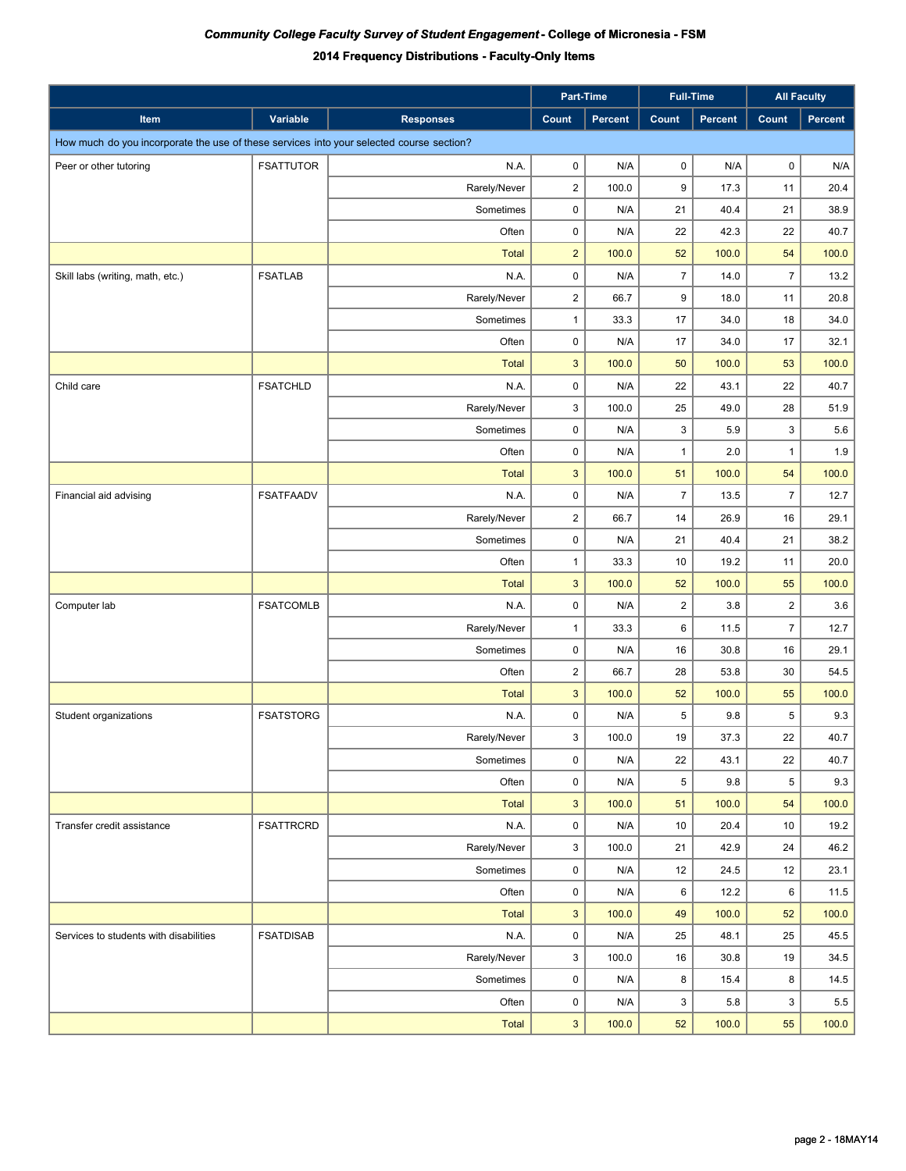|                                                                                          |                  |                  |                | Part-Time      |                         | <b>Full-Time</b> |                | <b>All Faculty</b> |
|------------------------------------------------------------------------------------------|------------------|------------------|----------------|----------------|-------------------------|------------------|----------------|--------------------|
| Item                                                                                     | Variable         | <b>Responses</b> | Count          | <b>Percent</b> | Count                   | <b>Percent</b>   | Count          | Percent            |
| How much do you incorporate the use of these services into your selected course section? |                  |                  |                |                |                         |                  |                |                    |
| Peer or other tutoring                                                                   | <b>FSATTUTOR</b> | N.A.             | 0              | N/A            | 0                       | N/A              | 0              | N/A                |
|                                                                                          |                  | Rarely/Never     | $\overline{2}$ | 100.0          | 9                       | 17.3             | 11             | 20.4               |
|                                                                                          |                  | Sometimes        | 0              | N/A            | 21                      | 40.4             | 21             | 38.9               |
|                                                                                          |                  | Often            | 0              | N/A            | 22                      | 42.3             | 22             | 40.7               |
|                                                                                          |                  | <b>Total</b>     | $\overline{2}$ | 100.0          | 52                      | 100.0            | 54             | 100.0              |
| Skill labs (writing, math, etc.)                                                         | <b>FSATLAB</b>   | N.A.             | 0              | N/A            | $\overline{7}$          | 14.0             | $\overline{7}$ | 13.2               |
|                                                                                          |                  | Rarely/Never     | $\overline{a}$ | 66.7           | 9                       | 18.0             | 11             | 20.8               |
|                                                                                          |                  | Sometimes        | $\mathbf{1}$   | 33.3           | 17                      | 34.0             | 18             | 34.0               |
|                                                                                          |                  | Often            | 0              | N/A            | 17                      | 34.0             | 17             | 32.1               |
|                                                                                          |                  | <b>Total</b>     | $\mathbf{3}$   | 100.0          | 50                      | 100.0            | 53             | 100.0              |
| Child care                                                                               | <b>FSATCHLD</b>  | N.A.             | 0              | N/A            | 22                      | 43.1             | 22             | 40.7               |
|                                                                                          |                  | Rarely/Never     | 3              | 100.0          | 25                      | 49.0             | 28             | 51.9               |
|                                                                                          |                  | Sometimes        | $\mathbf 0$    | N/A            | 3                       | 5.9              | 3              | 5.6                |
|                                                                                          |                  | Often            | $\pmb{0}$      | N/A            | 1                       | 2.0              | $\mathbf{1}$   | 1.9                |
|                                                                                          |                  | <b>Total</b>     | 3              | 100.0          | 51                      | 100.0            | 54             | 100.0              |
| Financial aid advising                                                                   | <b>FSATFAADV</b> | N.A.             | 0              | N/A            | $\overline{7}$          | 13.5             | $\overline{7}$ | 12.7               |
|                                                                                          |                  | Rarely/Never     | $\overline{2}$ | 66.7           | 14                      | 26.9             | 16             | 29.1               |
|                                                                                          |                  | Sometimes        | 0              | N/A            | 21                      | 40.4             | 21             | 38.2               |
|                                                                                          |                  | Often            | $\mathbf{1}$   | 33.3           | 10                      | 19.2             | 11             | 20.0               |
|                                                                                          |                  | <b>Total</b>     | $\mathbf{3}$   | 100.0          | 52                      | 100.0            | 55             | 100.0              |
| Computer lab                                                                             | <b>FSATCOMLB</b> | N.A.             | 0              | N/A            | $\overline{\mathbf{c}}$ | 3.8              | $\overline{c}$ | 3.6                |
|                                                                                          |                  | Rarely/Never     | $\mathbf{1}$   | 33.3           | 6                       | 11.5             | $\overline{7}$ | 12.7               |
|                                                                                          |                  | Sometimes        | $\mathbf 0$    | N/A            | 16                      | 30.8             | 16             | 29.1               |
|                                                                                          |                  | Often            | $\overline{2}$ | 66.7           | 28                      | 53.8             | 30             | 54.5               |
|                                                                                          |                  | <b>Total</b>     | $\mathbf{3}$   | 100.0          | 52                      | 100.0            | 55             | 100.0              |
| Student organizations                                                                    | <b>FSATSTORG</b> | N.A.             | 0              | N/A            | 5                       | 9.8              | 5              | 9.3                |
|                                                                                          |                  | Rarely/Never     | 3              | 100.0          | 19                      | 37.3             | 22             | 40.7               |
|                                                                                          |                  | Sometimes        | 0              | N/A            | 22                      | 43.1             | 22             | 40.7               |
|                                                                                          |                  | Often            | $\mathbf 0$    | N/A            | 5                       | 9.8              | 5              | 9.3                |
|                                                                                          |                  | <b>Total</b>     | 3              | 100.0          | 51                      | 100.0            | 54             | 100.0              |
| Transfer credit assistance                                                               | <b>FSATTRCRD</b> | N.A.             | $\mathbf 0$    | N/A            | 10                      | 20.4             | 10             | 19.2               |
|                                                                                          |                  | Rarely/Never     | 3              | 100.0          | 21                      | 42.9             | 24             | 46.2               |
|                                                                                          |                  | Sometimes        | $\mathbf 0$    | N/A            | 12                      | 24.5             | 12             | 23.1               |
|                                                                                          |                  | Often            | $\mathsf 0$    | N/A            | 6                       | 12.2             | 6              | 11.5               |
|                                                                                          |                  | <b>Total</b>     | $\mathbf{3}$   | 100.0          | 49                      | 100.0            | 52             | 100.0              |
| Services to students with disabilities                                                   | <b>FSATDISAB</b> | N.A.             | $\pmb{0}$      | N/A            | 25                      | 48.1             | 25             | 45.5               |
|                                                                                          |                  | Rarely/Never     | 3              | 100.0          | 16                      | 30.8             | 19             | 34.5               |
|                                                                                          |                  | Sometimes        | $\pmb{0}$      | N/A            | 8                       | 15.4             | 8              | 14.5               |
|                                                                                          |                  | Often            | $\mathsf 0$    | N/A            | 3                       | 5.8              | 3              | 5.5                |
|                                                                                          |                  | <b>Total</b>     | $\mathbf{3}$   | 100.0          | 52                      | 100.0            | 55             | 100.0              |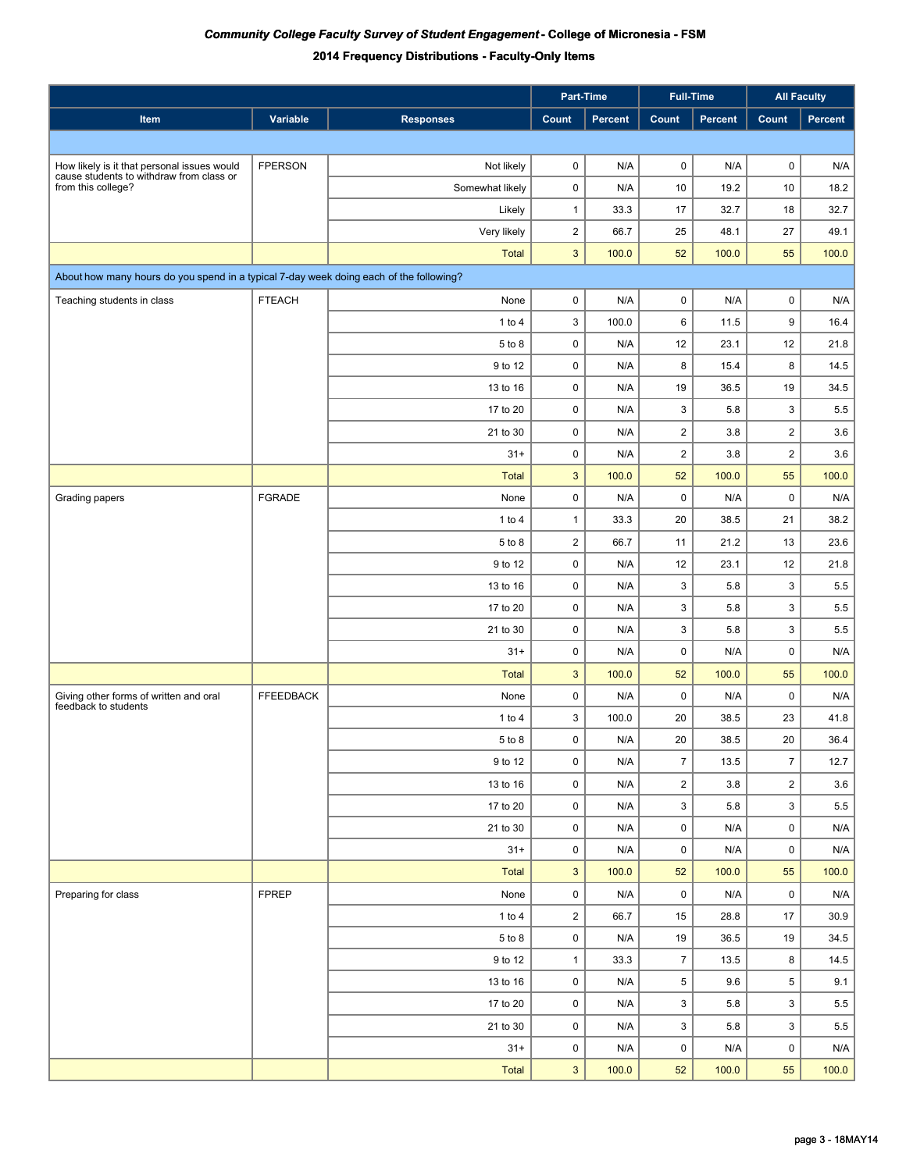|                                                                                        |                  |                  |                         | Part-Time      | <b>Full-Time</b>        |                | <b>All Faculty</b>  |                         |
|----------------------------------------------------------------------------------------|------------------|------------------|-------------------------|----------------|-------------------------|----------------|---------------------|-------------------------|
| Item                                                                                   | Variable         | <b>Responses</b> | <b>Count</b>            | <b>Percent</b> | Count                   | <b>Percent</b> | Count               | Percent                 |
|                                                                                        |                  |                  |                         |                |                         |                |                     |                         |
| How likely is it that personal issues would                                            | <b>FPERSON</b>   | Not likely       | 0                       | N/A            | 0                       | N/A            | 0                   | N/A                     |
| cause students to withdraw from class or<br>from this college?                         |                  | Somewhat likely  | 0                       | N/A            | 10                      | 19.2           | 10                  | 18.2                    |
|                                                                                        |                  | Likely           | $\mathbf{1}$            | 33.3           | 17                      | 32.7           | 18                  | 32.7                    |
|                                                                                        |                  | Very likely      | $\overline{2}$          | 66.7           | 25                      | 48.1           | 27                  | 49.1                    |
|                                                                                        |                  | <b>Total</b>     | 3                       | 100.0          | 52                      | 100.0          | 55                  | 100.0                   |
| About how many hours do you spend in a typical 7-day week doing each of the following? |                  |                  |                         |                |                         |                |                     |                         |
| Teaching students in class                                                             | <b>FTEACH</b>    | None             | 0                       | N/A            | 0                       | N/A            | $\pmb{0}$           | N/A                     |
|                                                                                        |                  | 1 to $4$         | 3                       | 100.0          | 6                       | 11.5           | 9                   | 16.4                    |
|                                                                                        |                  | 5 to 8           | 0                       | N/A            | 12                      | 23.1           | 12                  | 21.8                    |
|                                                                                        |                  | 9 to 12          | $\pmb{0}$               | N/A            | 8                       | 15.4           | 8                   | 14.5                    |
|                                                                                        |                  | 13 to 16         | 0                       | N/A            | 19                      | 36.5           | 19                  | 34.5                    |
|                                                                                        |                  | 17 to 20         | 0                       | N/A            | 3                       | 5.8            | 3                   | 5.5                     |
|                                                                                        |                  | 21 to 30         | 0                       | N/A            | $\overline{\mathbf{c}}$ | 3.8            | $\overline{2}$      | 3.6                     |
|                                                                                        |                  | $31 +$           | 0                       | N/A            | $\overline{\mathbf{c}}$ | 3.8            | $\overline{2}$      | 3.6                     |
|                                                                                        |                  | <b>Total</b>     | 3                       | 100.0          | 52                      | 100.0          | 55                  | 100.0                   |
| Grading papers                                                                         | FGRADE           | None             | 0                       | N/A            | $\pmb{0}$               | N/A            | $\mathsf 0$         | N/A                     |
|                                                                                        |                  | 1 to $4$         | $\mathbf{1}$            | 33.3           | 20                      | 38.5           | 21                  | 38.2                    |
|                                                                                        |                  | 5 to 8           | $\overline{c}$          | 66.7           | 11                      | 21.2           | 13                  | 23.6                    |
|                                                                                        |                  | 9 to 12          | 0                       | N/A            | 12                      | 23.1           | 12                  | 21.8                    |
|                                                                                        |                  | 13 to 16         | 0                       | N/A            | 3                       | 5.8            | 3                   | 5.5                     |
|                                                                                        |                  | 17 to 20         | 0                       | N/A            | 3                       | 5.8            | 3                   | 5.5                     |
|                                                                                        |                  | 21 to 30         | 0                       | N/A            | 3                       | 5.8            | 3                   | 5.5                     |
|                                                                                        |                  | $31 +$           | 0                       | N/A            | $\pmb{0}$               | N/A            | 0                   | N/A                     |
|                                                                                        |                  | <b>Total</b>     | 3                       | 100.0          | 52                      | 100.0          | 55                  | 100.0                   |
| Giving other forms of written and oral<br>feedback to students                         | <b>FFEEDBACK</b> | None             | 0                       | N/A            | 0                       | N/A            | 0                   | N/A                     |
|                                                                                        |                  | 1 to $4$         | 3                       | 100.0          | 20                      | 38.5           | 23                  | 41.8                    |
|                                                                                        |                  | 5 to 8           | 0                       | N/A            | 20                      | 38.5           | 20                  | 36.4                    |
|                                                                                        |                  | 9 to 12          | 0                       | N/A            | $\overline{7}$          | 13.5           | $\overline{7}$      | 12.7                    |
|                                                                                        |                  | 13 to 16         | 0                       | N/A            | $\overline{a}$          | 3.8            | $\overline{2}$      | 3.6                     |
|                                                                                        |                  | 17 to 20         | 0                       | N/A            | 3                       | 5.8            | 3                   | $5.5\,$                 |
|                                                                                        |                  | 21 to 30         | 0                       | N/A            | 0                       | N/A            | $\mathbf 0$         | $\mathsf{N}/\mathsf{A}$ |
|                                                                                        |                  | $31+$            | 0                       | N/A            | 0                       | N/A            | $\mathbf 0$         | N/A                     |
|                                                                                        |                  | <b>Total</b>     | 3                       | 100.0          | 52                      | 100.0          | 55                  | 100.0                   |
| Preparing for class                                                                    | <b>FPREP</b>     | None             | 0                       | N/A            | 0                       | N/A            | $\mathsf{O}\xspace$ | N/A                     |
|                                                                                        |                  | 1 to 4           | $\overline{\mathbf{c}}$ | 66.7           | 15                      | 28.8           | 17                  | 30.9                    |
|                                                                                        |                  | 5 to 8           | 0                       | N/A            | 19                      | 36.5           | 19                  | 34.5                    |
|                                                                                        |                  | 9 to 12          | $\mathbf{1}$            | 33.3           | $\overline{7}$          | 13.5           | 8                   | 14.5                    |
|                                                                                        |                  | 13 to 16         | $\mathsf 0$             | N/A            | 5                       | 9.6            | $\overline{5}$      | 9.1                     |
|                                                                                        |                  | 17 to 20         | 0                       | N/A            | 3                       | 5.8            | 3                   | 5.5                     |
|                                                                                        |                  | 21 to 30         | 0                       | N/A            | 3                       | 5.8            | 3                   | $5.5\,$                 |
|                                                                                        |                  | $31+$            | 0                       | N/A            | 0                       | N/A            | $\mathbf 0$         | N/A                     |
|                                                                                        |                  | Total            | 3                       | 100.0          | 52                      | 100.0          | 55                  | 100.0                   |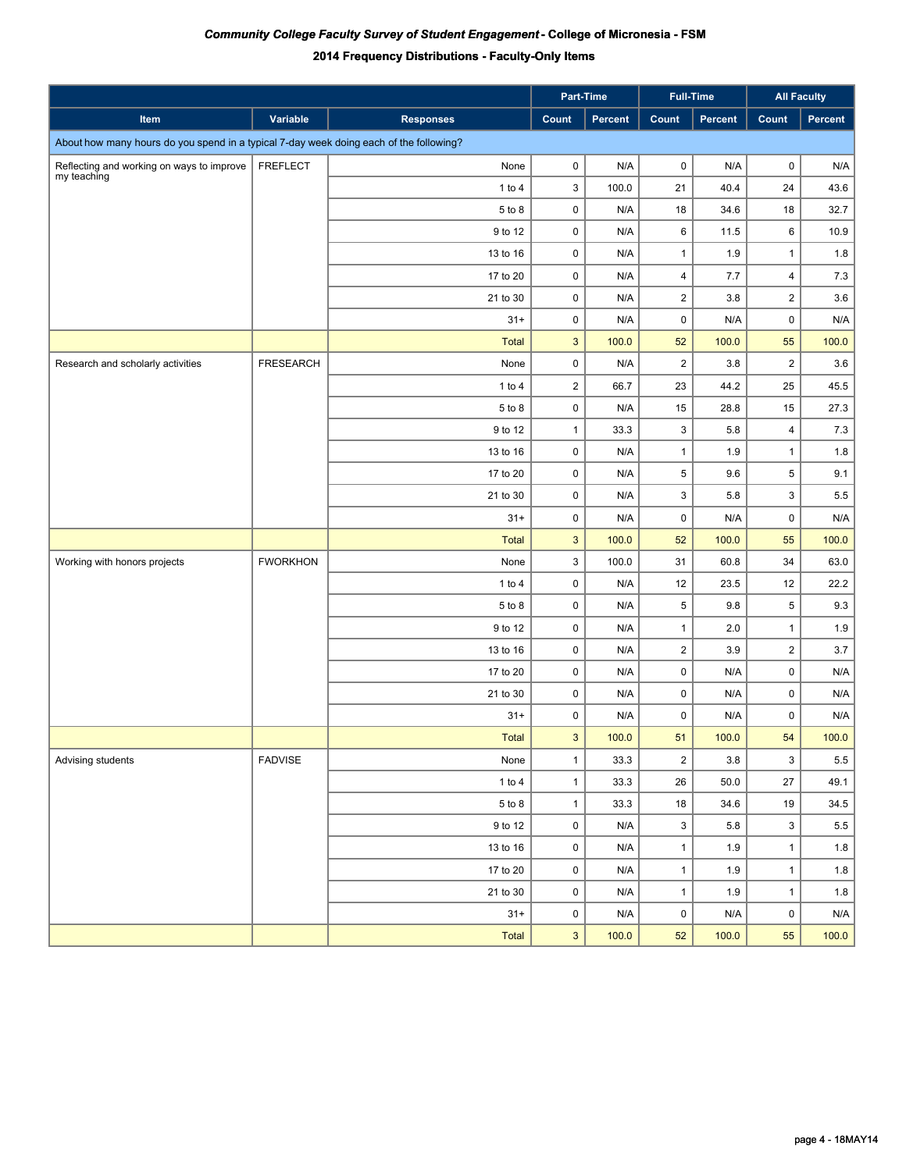|                                                                                        |                  |                  |                | Part-Time      | Full-Time      |         | <b>All Faculty</b> |         |
|----------------------------------------------------------------------------------------|------------------|------------------|----------------|----------------|----------------|---------|--------------------|---------|
| Item                                                                                   | Variable         | <b>Responses</b> | Count          | <b>Percent</b> | Count          | Percent | Count              | Percent |
| About how many hours do you spend in a typical 7-day week doing each of the following? |                  |                  |                |                |                |         |                    |         |
| Reflecting and working on ways to improve                                              | <b>FREFLECT</b>  | None             | 0              | N/A            | $\mathsf 0$    | N/A     | 0                  | N/A     |
| my teaching                                                                            |                  | 1 to 4           | 3              | 100.0          | 21             | 40.4    | 24                 | 43.6    |
|                                                                                        |                  | 5 to 8           | 0              | N/A            | 18             | 34.6    | 18                 | 32.7    |
|                                                                                        |                  | 9 to 12          | $\mathbf 0$    | N/A            | 6              | 11.5    | 6                  | 10.9    |
|                                                                                        |                  | 13 to 16         | $\mathbf 0$    | N/A            | 1              | 1.9     | $\mathbf{1}$       | 1.8     |
|                                                                                        |                  | 17 to 20         | 0              | N/A            | $\overline{4}$ | 7.7     | 4                  | 7.3     |
|                                                                                        |                  | 21 to 30         | 0              | N/A            | $\overline{c}$ | 3.8     | $\overline{2}$     | 3.6     |
|                                                                                        |                  | $31 +$           | 0              | N/A            | 0              | N/A     | 0                  | N/A     |
|                                                                                        |                  | <b>Total</b>     | 3              | 100.0          | 52             | 100.0   | 55                 | 100.0   |
| Research and scholarly activities                                                      | <b>FRESEARCH</b> | None             | $\mathsf 0$    | N/A            | $\overline{2}$ | 3.8     | $\overline{2}$     | 3.6     |
|                                                                                        |                  | $1$ to $4$       | $\overline{2}$ | 66.7           | 23             | 44.2    | 25                 | 45.5    |
|                                                                                        |                  | 5 to 8           | $\mathsf 0$    | N/A            | 15             | 28.8    | 15                 | 27.3    |
|                                                                                        |                  | 9 to 12          | $\mathbf{1}$   | 33.3           | 3              | 5.8     | $\overline{4}$     | 7.3     |
|                                                                                        |                  | 13 to 16         | $\pmb{0}$      | N/A            | $\mathbf{1}$   | 1.9     | $\mathbf{1}$       | 1.8     |
|                                                                                        |                  | 17 to 20         | $\pmb{0}$      | N/A            | $\,$ 5 $\,$    | 9.6     | $\mathbf 5$        | 9.1     |
|                                                                                        |                  | 21 to 30         | $\pmb{0}$      | N/A            | 3              | 5.8     | 3                  | 5.5     |
|                                                                                        |                  | $31 +$           | $\pmb{0}$      | N/A            | $\pmb{0}$      | N/A     | $\mathsf 0$        | N/A     |
|                                                                                        |                  | <b>Total</b>     | 3              | 100.0          | 52             | 100.0   | 55                 | 100.0   |
| Working with honors projects                                                           | <b>FWORKHON</b>  | None             | 3              | 100.0          | 31             | 60.8    | 34                 | 63.0    |
|                                                                                        |                  | 1 to $4$         | $\mathbf 0$    | N/A            | 12             | 23.5    | 12                 | 22.2    |
|                                                                                        |                  | 5 to 8           | $\mathbf 0$    | N/A            | $\,$ 5 $\,$    | 9.8     | $\,$ 5 $\,$        | 9.3     |
|                                                                                        |                  | 9 to 12          | $\pmb{0}$      | N/A            | $\mathbf{1}$   | 2.0     | $\mathbf{1}$       | 1.9     |
|                                                                                        |                  | 13 to 16         | $\pmb{0}$      | N/A            | $\overline{2}$ | 3.9     | $\overline{2}$     | 3.7     |
|                                                                                        |                  | 17 to 20         | $\pmb{0}$      | N/A            | $\pmb{0}$      | N/A     | $\mathsf 0$        | N/A     |
|                                                                                        |                  | 21 to 30         | $\mathbf 0$    | N/A            | $\mathsf 0$    | N/A     | $\mathsf 0$        | N/A     |
|                                                                                        |                  | $31 +$           | 0              | N/A            | $\mathsf 0$    | N/A     | 0                  | N/A     |
|                                                                                        |                  | Total            | 3              | 100.0          | 51             | 100.0   | 54                 | 100.0   |
| Advising students                                                                      | FADVISE          | None             | $\mathbf{1}$   | 33.3           | $\overline{c}$ | 3.8     | 3                  | 5.5     |
|                                                                                        |                  | $1$ to $4$       | $\mathbf{1}$   | 33.3           | 26             | 50.0    | 27                 | 49.1    |
|                                                                                        |                  | 5 to 8           | $\mathbf{1}$   | 33.3           | 18             | 34.6    | 19                 | 34.5    |
|                                                                                        |                  | 9 to 12          | $\mathsf{O}$   | N/A            | $\mathbf{3}$   | 5.8     | 3                  | 5.5     |
|                                                                                        |                  | 13 to 16         | 0              | N/A            | $\mathbf{1}$   | 1.9     | $\mathbf{1}$       | $1.8\,$ |
|                                                                                        |                  | 17 to 20         | $\mathsf{O}$   | N/A            | $\mathbf{1}$   | 1.9     | $\mathbf{1}$       | 1.8     |
|                                                                                        |                  | 21 to 30         | $\mathsf{O}$   | N/A            | $\mathbf{1}$   | 1.9     | $\mathbf{1}$       | 1.8     |
|                                                                                        |                  | $31 +$           | $\mathsf{O}$   | N/A            | $\mathsf 0$    | N/A     | $\mathsf 0$        | N/A     |
|                                                                                        |                  | <b>Total</b>     | $\mathbf{3}$   | 100.0          | 52             | 100.0   | 55                 | 100.0   |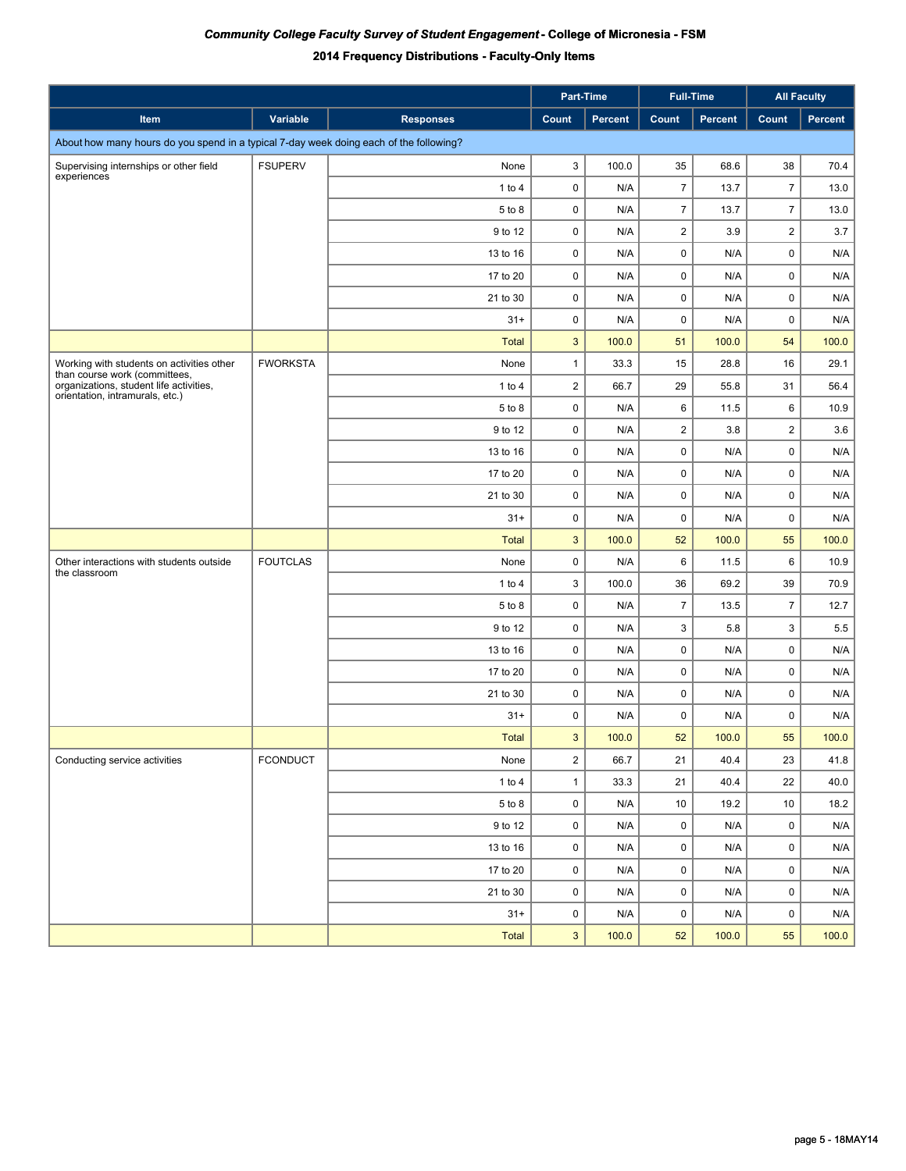|                                                                                        |                 |                  |                         | Part-Time | <b>Full-Time</b> |                | <b>All Faculty</b> |         |
|----------------------------------------------------------------------------------------|-----------------|------------------|-------------------------|-----------|------------------|----------------|--------------------|---------|
| <b>Item</b>                                                                            | Variable        | <b>Responses</b> | Count                   | Percent   | Count            | <b>Percent</b> | Count              | Percent |
| About how many hours do you spend in a typical 7-day week doing each of the following? |                 |                  |                         |           |                  |                |                    |         |
| Supervising internships or other field                                                 | <b>FSUPERV</b>  | None             | 3                       | 100.0     | 35               | 68.6           | 38                 | 70.4    |
| experiences                                                                            |                 | $1$ to $4$       | $\mathbf 0$             | N/A       | $\overline{7}$   | 13.7           | $\overline{7}$     | 13.0    |
|                                                                                        |                 | 5 to 8           | 0                       | N/A       | $\overline{7}$   | 13.7           | $\overline{7}$     | 13.0    |
|                                                                                        |                 | 9 to 12          | $\mathbf 0$             | N/A       | $\overline{2}$   | 3.9            | $\overline{2}$     | 3.7     |
|                                                                                        |                 | 13 to 16         | 0                       | N/A       | $\mathbf 0$      | N/A            | $\mathsf 0$        | N/A     |
|                                                                                        |                 | 17 to 20         | 0                       | N/A       | 0                | N/A            | 0                  | N/A     |
|                                                                                        |                 | 21 to 30         | 0                       | N/A       | 0                | N/A            | 0                  | N/A     |
|                                                                                        |                 | $31 +$           | 0                       | N/A       | 0                | N/A            | 0                  | N/A     |
|                                                                                        |                 | <b>Total</b>     | 3                       | 100.0     | 51               | 100.0          | 54                 | 100.0   |
| Working with students on activities other<br>than course work (committees,             | <b>FWORKSTA</b> | None             | $\mathbf{1}$            | 33.3      | 15               | 28.8           | 16                 | 29.1    |
| organizations, student life activities,<br>orientation, intramurals, etc.)             |                 | 1 to $4$         | $\overline{2}$          | 66.7      | 29               | 55.8           | 31                 | 56.4    |
|                                                                                        |                 | 5 to 8           | $\mathbf 0$             | N/A       | 6                | 11.5           | 6                  | 10.9    |
|                                                                                        |                 | 9 to 12          | $\mathbf 0$             | N/A       | $\overline{2}$   | 3.8            | $\overline{2}$     | 3.6     |
|                                                                                        |                 | 13 to 16         | $\mathbf 0$             | N/A       | $\mathsf 0$      | N/A            | $\mathsf 0$        | N/A     |
|                                                                                        |                 | 17 to 20         | 0                       | N/A       | $\mathsf 0$      | N/A            | $\mathsf 0$        | N/A     |
|                                                                                        |                 | 21 to 30         | $\mathbf 0$             | N/A       | $\mathsf 0$      | N/A            | $\mathsf 0$        | N/A     |
|                                                                                        |                 | $31 +$           | 0                       | N/A       | $\mathsf 0$      | N/A            | $\mathsf 0$        | N/A     |
|                                                                                        |                 | <b>Total</b>     | 3                       | 100.0     | 52               | 100.0          | 55                 | 100.0   |
| Other interactions with students outside<br>the classroom                              | <b>FOUTCLAS</b> | None             | $\mathbf 0$             | N/A       | 6                | 11.5           | 6                  | 10.9    |
|                                                                                        |                 | $1$ to $4$       | 3                       | 100.0     | 36               | 69.2           | 39                 | 70.9    |
|                                                                                        |                 | 5 to 8           | 0                       | N/A       | $\overline{7}$   | 13.5           | $\overline{7}$     | 12.7    |
|                                                                                        |                 | 9 to 12          | 0                       | N/A       | 3                | 5.8            | 3                  | 5.5     |
|                                                                                        |                 | 13 to 16         | $\pmb{0}$               | N/A       | $\mathsf 0$      | N/A            | $\mathsf 0$        | N/A     |
|                                                                                        |                 | 17 to 20         | $\mathbf 0$             | N/A       | $\pmb{0}$        | N/A            | $\mathsf 0$        | N/A     |
|                                                                                        |                 | 21 to 30         | $\mathbf 0$             | N/A       | $\mathbf 0$      | N/A            | $\mathsf 0$        | N/A     |
|                                                                                        |                 | $31 +$           | $\mathbf 0$             | N/A       | $\mathbf 0$      | N/A            | 0                  | N/A     |
|                                                                                        |                 | <b>Total</b>     | 3                       | 100.0     | 52               | 100.0          | 55                 | 100.0   |
| Conducting service activities                                                          | <b>FCONDUCT</b> | None             | $\overline{\mathbf{c}}$ | 66.7      | 21               | 40.4           | 23                 | 41.8    |
|                                                                                        |                 | 1 to 4           | $\mathbf{1}$            | 33.3      | 21               | 40.4           | 22                 | 40.0    |
|                                                                                        |                 | 5 to 8           | $\mathsf 0$             | N/A       | 10               | 19.2           | 10                 | 18.2    |
|                                                                                        |                 | 9 to 12          | $\mathsf 0$             | N/A       | $\mathsf 0$      | N/A            | 0                  | N/A     |
|                                                                                        |                 | 13 to 16         | $\pmb{0}$               | N/A       | $\pmb{0}$        | N/A            | 0                  | N/A     |
|                                                                                        |                 | 17 to 20         | 0                       | N/A       | $\mathbf 0$      | N/A            | 0                  | N/A     |
|                                                                                        |                 | 21 to 30         | $\pmb{0}$               | N/A       | 0                | N/A            | 0                  | N/A     |
|                                                                                        |                 | $31 +$           | $\mathbf 0$             | N/A       | $\mathbf 0$      | N/A            | 0                  | N/A     |
|                                                                                        |                 | <b>Total</b>     | 3                       | 100.0     | 52               | 100.0          | 55                 | 100.0   |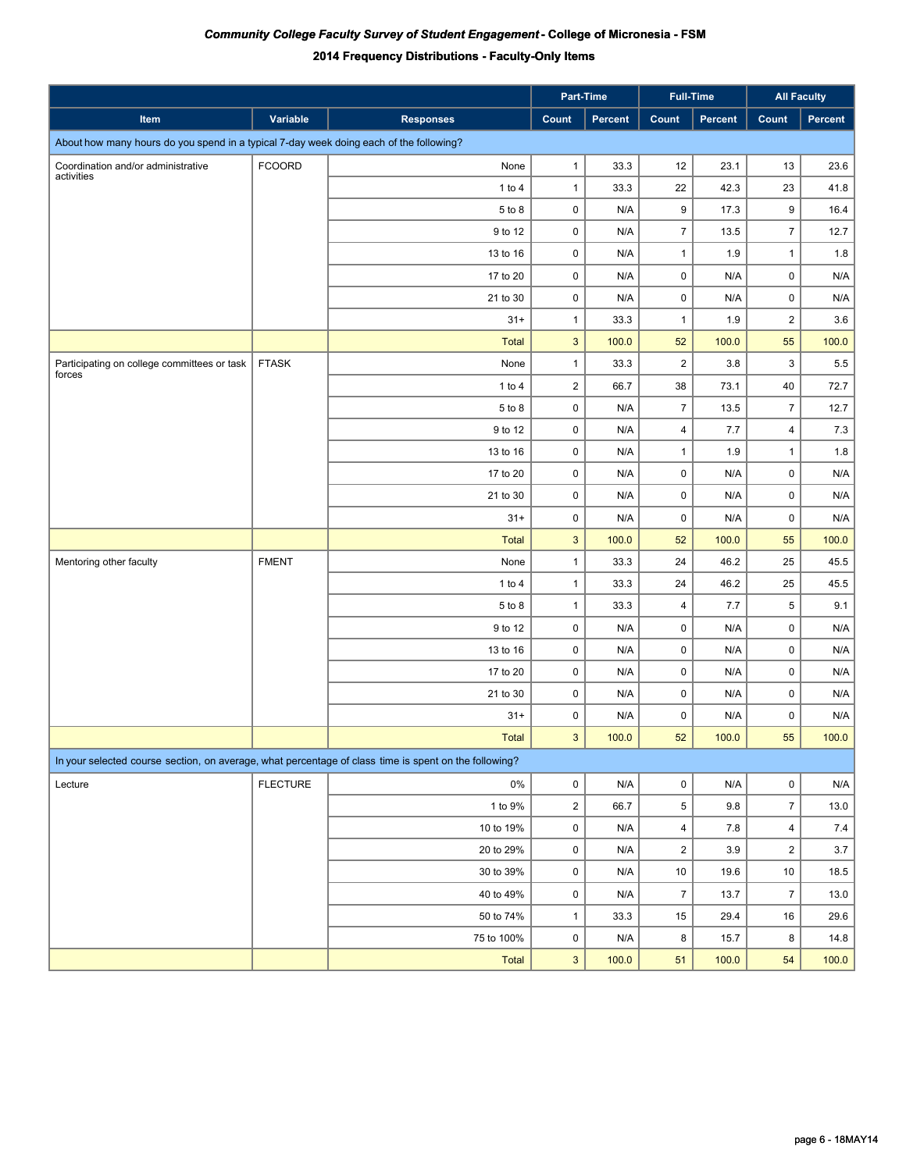|                                                                                                       |                 |                  | Part-Time               |                         | <b>Full-Time</b>        |                         | <b>All Faculty</b> |         |
|-------------------------------------------------------------------------------------------------------|-----------------|------------------|-------------------------|-------------------------|-------------------------|-------------------------|--------------------|---------|
| Item                                                                                                  | Variable        | <b>Responses</b> | Count                   | Percent                 | Count                   | Percent                 | Count              | Percent |
| About how many hours do you spend in a typical 7-day week doing each of the following?                |                 |                  |                         |                         |                         |                         |                    |         |
| Coordination and/or administrative                                                                    | <b>FCOORD</b>   | None             | $\mathbf{1}$            | 33.3                    | 12                      | 23.1                    | 13                 | 23.6    |
| activities                                                                                            |                 | 1 to $4$         | $\mathbf{1}$            | 33.3                    | 22                      | 42.3                    | 23                 | 41.8    |
|                                                                                                       |                 | 5 to 8           | $\mathbf 0$             | N/A                     | 9                       | 17.3                    | 9                  | 16.4    |
|                                                                                                       |                 | 9 to 12          | $\mathbf 0$             | N/A                     | $\overline{7}$          | 13.5                    | $\overline{7}$     | 12.7    |
|                                                                                                       |                 | 13 to 16         | 0                       | N/A                     | $\mathbf{1}$            | 1.9                     | $\mathbf{1}$       | 1.8     |
|                                                                                                       |                 | 17 to 20         | 0                       | N/A                     | $\mathsf 0$             | N/A                     | 0                  | N/A     |
|                                                                                                       |                 | 21 to 30         | 0                       | N/A                     | $\mathsf 0$             | N/A                     | 0                  | N/A     |
|                                                                                                       |                 | $31 +$           | $\mathbf{1}$            | 33.3                    | $\mathbf{1}$            | 1.9                     | $\overline{2}$     | 3.6     |
|                                                                                                       |                 | <b>Total</b>     | 3                       | 100.0                   | 52                      | 100.0                   | 55                 | 100.0   |
| Participating on college committees or task<br>forces                                                 | <b>FTASK</b>    | None             | $\mathbf{1}$            | 33.3                    | $\overline{2}$          | 3.8                     | 3                  | 5.5     |
|                                                                                                       |                 | 1 to $4$         | $\overline{2}$          | 66.7                    | 38                      | 73.1                    | 40                 | 72.7    |
|                                                                                                       |                 | 5 to 8           | 0                       | N/A                     | $\overline{7}$          | 13.5                    | $\overline{7}$     | 12.7    |
|                                                                                                       |                 | 9 to 12          | 0                       | N/A                     | $\overline{4}$          | 7.7                     | 4                  | 7.3     |
|                                                                                                       |                 | 13 to 16         | 0                       | N/A                     | $\mathbf{1}$            | 1.9                     | $\mathbf{1}$       | 1.8     |
|                                                                                                       |                 | 17 to 20         | $\pmb{0}$               | N/A                     | $\pmb{0}$               | N/A                     | $\pmb{0}$          | N/A     |
|                                                                                                       |                 | 21 to 30         | $\mathbf 0$             | N/A                     | $\mathsf 0$             | N/A                     | $\mathsf 0$        | N/A     |
|                                                                                                       |                 | $31 +$           | $\pmb{0}$               | N/A                     | $\mathsf 0$             | N/A                     | $\mathsf 0$        | N/A     |
|                                                                                                       |                 | <b>Total</b>     | $\mathbf{3}$            | 100.0                   | 52                      | 100.0                   | 55                 | 100.0   |
| Mentoring other faculty                                                                               | <b>FMENT</b>    | None             | $\mathbf{1}$            | 33.3                    | 24                      | 46.2                    | 25                 | 45.5    |
|                                                                                                       |                 | $1$ to $4$       | $\mathbf{1}$            | 33.3                    | 24                      | 46.2                    | 25                 | 45.5    |
|                                                                                                       |                 | 5 to 8           | $\mathbf{1}$            | 33.3                    | 4                       | 7.7                     | $\mathbf 5$        | 9.1     |
|                                                                                                       |                 | 9 to 12          | $\mathbf 0$             | N/A                     | $\mathsf 0$             | N/A                     | $\mathsf 0$        | N/A     |
|                                                                                                       |                 | 13 to 16         | $\mathbf 0$             | N/A                     | $\mathsf 0$             | N/A                     | $\mathsf 0$        | N/A     |
|                                                                                                       |                 | 17 to 20         | $\mathbf 0$             | N/A                     | $\mathsf 0$             | N/A                     | $\mathsf 0$        | N/A     |
|                                                                                                       |                 | 21 to 30         | $\mathbf 0$             | N/A                     | $\mathsf 0$             | N/A                     | $\mathsf 0$        | N/A     |
|                                                                                                       |                 | $31 +$           | 0                       | N/A                     | 0                       | N/A                     | 0                  | N/A     |
|                                                                                                       |                 | Total            | 3                       | 100.0                   | 52                      | 100.0                   | 55                 | 100.0   |
| In your selected course section, on average, what percentage of class time is spent on the following? |                 |                  |                         |                         |                         |                         |                    |         |
| Lecture                                                                                               | <b>FLECTURE</b> | $0\%$            | $\mathsf 0$             | $\mathsf{N}/\mathsf{A}$ | $\pmb{0}$               | $\mathsf{N}/\mathsf{A}$ | $\mathsf 0$        | N/A     |
|                                                                                                       |                 | 1 to 9%          | $\overline{\mathbf{c}}$ | 66.7                    | $\,$ 5 $\,$             | 9.8                     | $\overline{7}$     | 13.0    |
|                                                                                                       |                 | 10 to 19%        | 0                       | N/A                     | $\overline{\mathbf{4}}$ | $7.8$                   | $\overline{4}$     | 7.4     |
|                                                                                                       |                 | 20 to 29%        | 0                       | N/A                     | $\mathbf 2$             | $3.9\,$                 | $\overline{2}$     | $3.7$   |
|                                                                                                       |                 | 30 to 39%        | $\mathsf 0$             | N/A                     | $10\,$                  | 19.6                    | $10\,$             | 18.5    |
|                                                                                                       |                 | 40 to 49%        | $\mathsf 0$             | N/A                     | $\overline{7}$          | 13.7                    | $\boldsymbol{7}$   | 13.0    |
|                                                                                                       |                 | 50 to 74%        | $\mathbf{1}$            | 33.3                    | $15\,$                  | 29.4                    | 16                 | 29.6    |
|                                                                                                       |                 | 75 to 100%       | $\mathsf 0$             | N/A                     | 8                       | 15.7                    | 8                  | 14.8    |
|                                                                                                       |                 | Total            | $\mathbf{3}$            | 100.0                   | 51                      | 100.0                   | 54                 | 100.0   |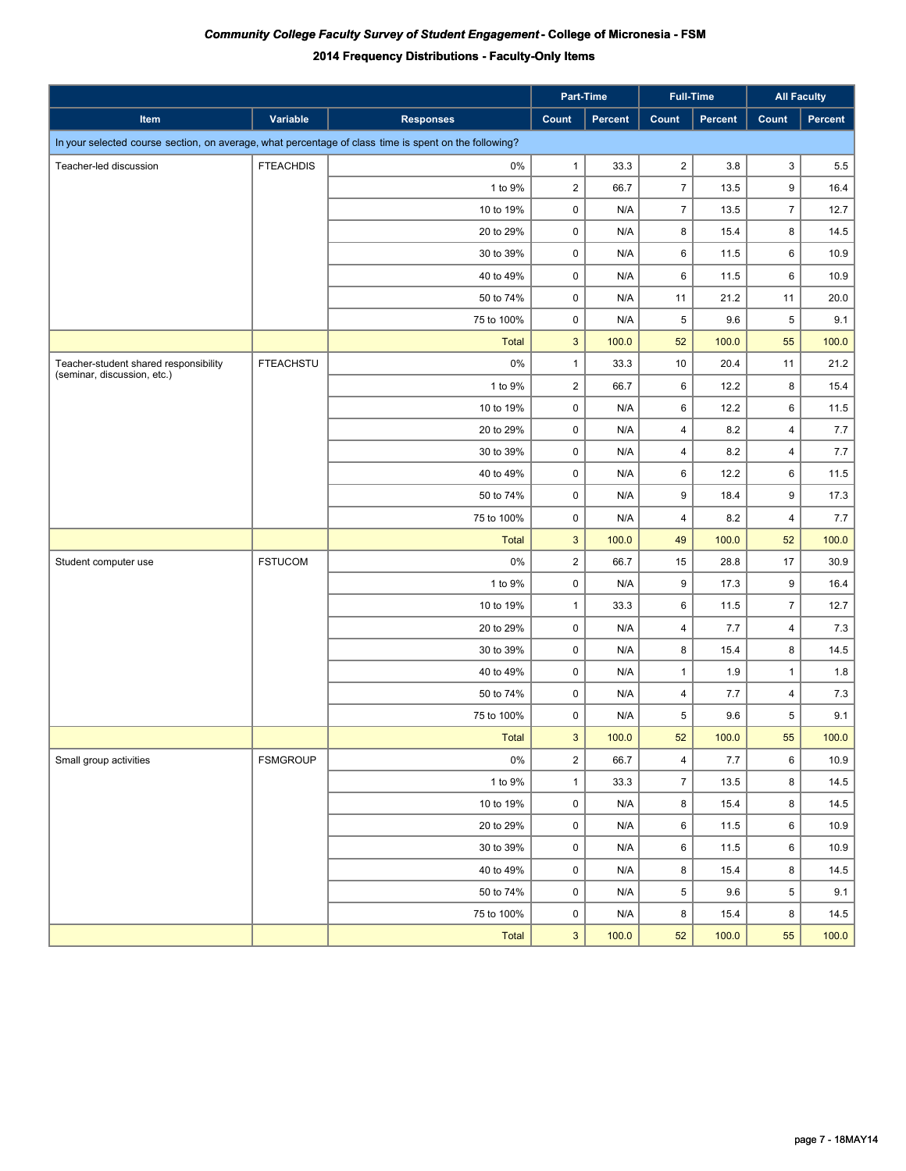|                                                                                                       |                  |                  |                | Part-Time |                         | <b>Full-Time</b> | <b>All Faculty</b> |         |
|-------------------------------------------------------------------------------------------------------|------------------|------------------|----------------|-----------|-------------------------|------------------|--------------------|---------|
| Item                                                                                                  | Variable         | <b>Responses</b> | Count          | Percent   | Count                   | Percent          | Count              | Percent |
| In your selected course section, on average, what percentage of class time is spent on the following? |                  |                  |                |           |                         |                  |                    |         |
| Teacher-led discussion                                                                                | <b>FTEACHDIS</b> | 0%               | $\mathbf{1}$   | 33.3      | $\overline{2}$          | 3.8              | 3                  | 5.5     |
|                                                                                                       |                  | 1 to 9%          | $\overline{c}$ | 66.7      | $\overline{7}$          | 13.5             | 9                  | 16.4    |
|                                                                                                       |                  | 10 to 19%        | $\pmb{0}$      | N/A       | $\overline{7}$          | 13.5             | $\overline{7}$     | 12.7    |
|                                                                                                       |                  | 20 to 29%        | 0              | N/A       | 8                       | 15.4             | 8                  | 14.5    |
|                                                                                                       |                  | 30 to 39%        | 0              | N/A       | 6                       | 11.5             | 6                  | 10.9    |
|                                                                                                       |                  | 40 to 49%        | $\pmb{0}$      | N/A       | 6                       | 11.5             | 6                  | 10.9    |
|                                                                                                       |                  | 50 to 74%        | $\pmb{0}$      | N/A       | 11                      | 21.2             | 11                 | 20.0    |
|                                                                                                       |                  | 75 to 100%       | 0              | N/A       | 5                       | 9.6              | 5                  | 9.1     |
|                                                                                                       |                  | <b>Total</b>     | $\mathbf{3}$   | 100.0     | 52                      | 100.0            | 55                 | 100.0   |
| Teacher-student shared responsibility                                                                 | <b>FTEACHSTU</b> | 0%               | $\mathbf{1}$   | 33.3      | 10                      | 20.4             | 11                 | 21.2    |
| (seminar, discussion, etc.)                                                                           |                  | 1 to 9%          | $\overline{c}$ | 66.7      | 6                       | 12.2             | 8                  | 15.4    |
|                                                                                                       |                  | 10 to 19%        | 0              | N/A       | 6                       | 12.2             | 6                  | 11.5    |
|                                                                                                       |                  | 20 to 29%        | 0              | N/A       | $\overline{\mathbf{4}}$ | 8.2              | 4                  | 7.7     |
|                                                                                                       |                  | 30 to 39%        | 0              | N/A       | $\overline{\mathbf{4}}$ | 8.2              | 4                  | 7.7     |
|                                                                                                       |                  | 40 to 49%        | $\pmb{0}$      | N/A       | 6                       | 12.2             | 6                  | 11.5    |
|                                                                                                       |                  | 50 to 74%        | $\pmb{0}$      | N/A       | 9                       | 18.4             | 9                  | 17.3    |
|                                                                                                       |                  | 75 to 100%       | 0              | N/A       | $\overline{4}$          | 8.2              | $\overline{4}$     | 7.7     |
|                                                                                                       |                  | <b>Total</b>     | $\mathbf{3}$   | 100.0     | 49                      | 100.0            | 52                 | 100.0   |
| Student computer use                                                                                  | <b>FSTUCOM</b>   | 0%               | $\mathbf 2$    | 66.7      | 15                      | 28.8             | 17                 | 30.9    |
|                                                                                                       |                  | 1 to 9%          | 0              | N/A       | 9                       | 17.3             | 9                  | 16.4    |
|                                                                                                       |                  | 10 to 19%        | $\mathbf{1}$   | 33.3      | 6                       | 11.5             | $\overline{7}$     | 12.7    |
|                                                                                                       |                  | 20 to 29%        | $\pmb{0}$      | N/A       | $\overline{4}$          | 7.7              | $\overline{4}$     | 7.3     |
|                                                                                                       |                  | 30 to 39%        | $\pmb{0}$      | N/A       | 8                       | 15.4             | 8                  | 14.5    |
|                                                                                                       |                  | 40 to 49%        | $\pmb{0}$      | N/A       | $\mathbf{1}$            | 1.9              | $\mathbf{1}$       | 1.8     |
|                                                                                                       |                  | 50 to 74%        | $\pmb{0}$      | N/A       | $\overline{4}$          | 7.7              | $\overline{4}$     | 7.3     |
|                                                                                                       |                  | 75 to 100%       | $\pmb{0}$      | N/A       | 5                       | 9.6              | 5                  | 9.1     |
|                                                                                                       |                  | <b>Total</b>     | $\mathbf{3}$   | 100.0     | 52                      | 100.0            | 55                 | 100.0   |
| Small group activities                                                                                | <b>FSMGROUP</b>  | $0\%$            | $\mathbf 2$    | 66.7      | $\overline{4}$          | 7.7              | 6                  | 10.9    |
|                                                                                                       |                  | 1 to 9%          | $\mathbf{1}$   | 33.3      | $\overline{7}$          | 13.5             | 8                  | 14.5    |
|                                                                                                       |                  | 10 to 19%        | $\pmb{0}$      | N/A       | 8                       | 15.4             | 8                  | 14.5    |
|                                                                                                       |                  | 20 to 29%        | $\pmb{0}$      | N/A       | 6                       | 11.5             | 6                  | 10.9    |
|                                                                                                       |                  | 30 to 39%        | $\pmb{0}$      | N/A       | 6                       | 11.5             | 6                  | 10.9    |
|                                                                                                       |                  | 40 to 49%        | $\pmb{0}$      | N/A       | 8                       | 15.4             | 8                  | 14.5    |
|                                                                                                       |                  | 50 to 74%        | $\pmb{0}$      | N/A       | 5                       | 9.6              | $\overline{5}$     | 9.1     |
|                                                                                                       |                  | 75 to 100%       | 0              | N/A       | 8                       | 15.4             | 8                  | 14.5    |
|                                                                                                       |                  | Total            | 3              | 100.0     | 52                      | 100.0            | 55                 | 100.0   |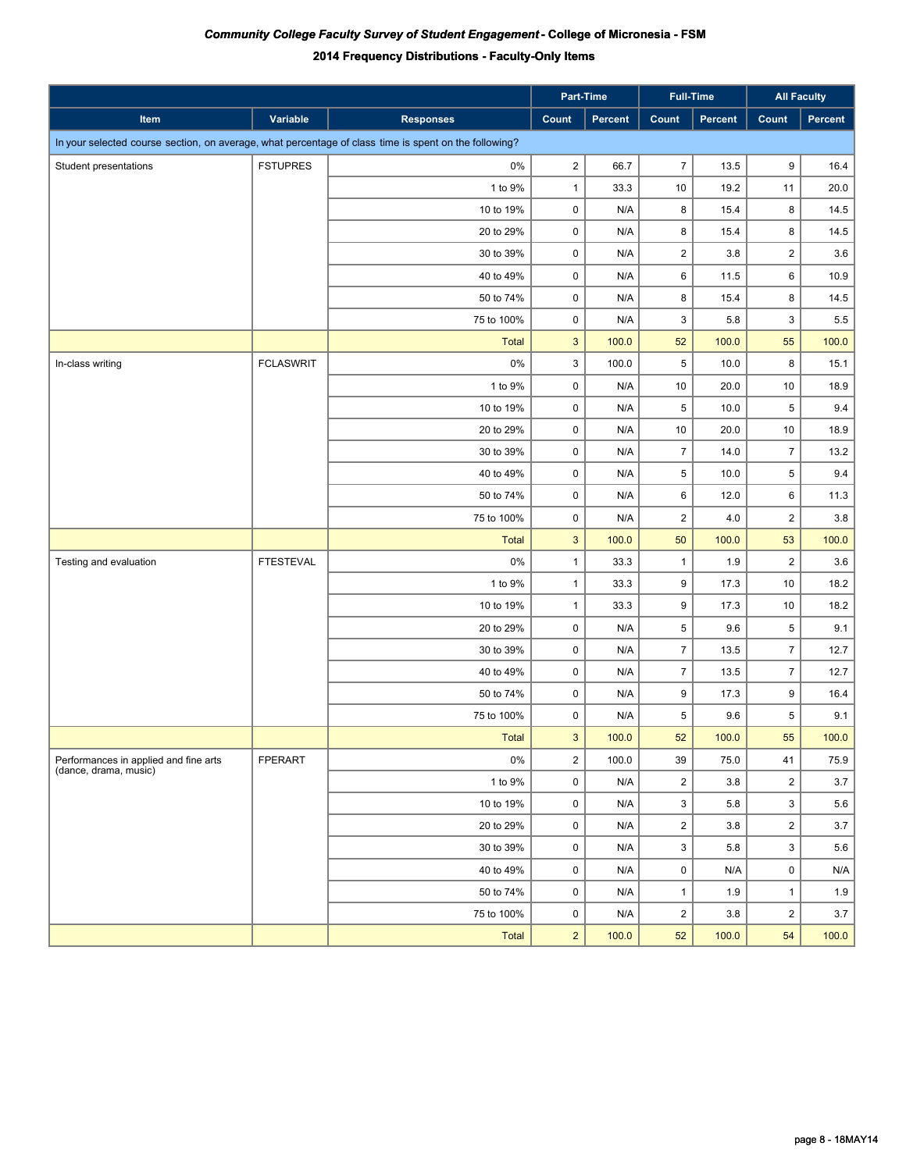|                                                                |                  |                                                                                                       | Part-Time      |         | <b>Full-Time</b>        |         | <b>All Faculty</b> |         |
|----------------------------------------------------------------|------------------|-------------------------------------------------------------------------------------------------------|----------------|---------|-------------------------|---------|--------------------|---------|
| Item                                                           | Variable         | <b>Responses</b>                                                                                      | Count          | Percent | Count                   | Percent | Count              | Percent |
|                                                                |                  | In your selected course section, on average, what percentage of class time is spent on the following? |                |         |                         |         |                    |         |
| Student presentations                                          | <b>FSTUPRES</b>  | $0\%$                                                                                                 | $\overline{2}$ | 66.7    | $\overline{7}$          | 13.5    | 9                  | 16.4    |
|                                                                |                  | 1 to 9%                                                                                               | $\mathbf{1}$   | 33.3    | 10                      | 19.2    | 11                 | 20.0    |
|                                                                |                  | 10 to 19%                                                                                             | $\pmb{0}$      | N/A     | 8                       | 15.4    | 8                  | 14.5    |
|                                                                |                  | 20 to 29%                                                                                             | $\pmb{0}$      | N/A     | 8                       | 15.4    | 8                  | 14.5    |
|                                                                |                  | 30 to 39%                                                                                             | $\pmb{0}$      | N/A     | $\overline{\mathbf{c}}$ | 3.8     | $\overline{c}$     | 3.6     |
|                                                                |                  | 40 to 49%                                                                                             | $\pmb{0}$      | N/A     | 6                       | 11.5    | 6                  | 10.9    |
|                                                                |                  | 50 to 74%                                                                                             | $\pmb{0}$      | N/A     | 8                       | 15.4    | 8                  | 14.5    |
|                                                                |                  | 75 to 100%                                                                                            | $\pmb{0}$      | N/A     | 3                       | 5.8     | 3                  | 5.5     |
|                                                                |                  | <b>Total</b>                                                                                          | $\mathbf{3}$   | 100.0   | 52                      | 100.0   | 55                 | 100.0   |
| In-class writing                                               | <b>FCLASWRIT</b> | $0\%$                                                                                                 | 3              | 100.0   | 5                       | 10.0    | 8                  | 15.1    |
|                                                                |                  | 1 to 9%                                                                                               | $\pmb{0}$      | N/A     | 10                      | 20.0    | 10                 | 18.9    |
|                                                                |                  | 10 to 19%                                                                                             | $\pmb{0}$      | N/A     | 5                       | 10.0    | $\,$ 5 $\,$        | 9.4     |
|                                                                |                  | 20 to 29%                                                                                             | $\pmb{0}$      | N/A     | 10                      | 20.0    | $10$               | 18.9    |
|                                                                |                  | 30 to 39%                                                                                             | $\pmb{0}$      | N/A     | $\overline{7}$          | 14.0    | $\overline{7}$     | 13.2    |
|                                                                |                  | 40 to 49%                                                                                             | $\pmb{0}$      | N/A     | $\,$ 5 $\,$             | 10.0    | $\,$ 5 $\,$        | 9.4     |
|                                                                |                  | 50 to 74%                                                                                             | $\pmb{0}$      | N/A     | 6                       | 12.0    | 6                  | 11.3    |
|                                                                |                  | 75 to 100%                                                                                            | $\pmb{0}$      | N/A     | $\overline{\mathbf{c}}$ | 4.0     | $\overline{2}$     | 3.8     |
|                                                                |                  | <b>Total</b>                                                                                          | $\mathbf{3}$   | 100.0   | 50                      | 100.0   | 53                 | 100.0   |
| Testing and evaluation                                         | <b>FTESTEVAL</b> | 0%                                                                                                    | $\mathbf{1}$   | 33.3    | $\mathbf{1}$            | 1.9     | $\overline{2}$     | 3.6     |
|                                                                |                  | 1 to 9%                                                                                               | $\mathbf{1}$   | 33.3    | 9                       | 17.3    | 10                 | 18.2    |
|                                                                |                  | 10 to 19%                                                                                             | $\mathbf{1}$   | 33.3    | 9                       | 17.3    | 10                 | 18.2    |
|                                                                |                  | 20 to 29%                                                                                             | $\pmb{0}$      | N/A     | 5                       | 9.6     | $\,$ 5 $\,$        | 9.1     |
|                                                                |                  | 30 to 39%                                                                                             | $\pmb{0}$      | N/A     | $\overline{7}$          | 13.5    | $\overline{7}$     | 12.7    |
|                                                                |                  | 40 to 49%                                                                                             | $\pmb{0}$      | N/A     | $\overline{7}$          | 13.5    | $\overline{7}$     | 12.7    |
|                                                                |                  | 50 to 74%                                                                                             | $\pmb{0}$      | N/A     | 9                       | 17.3    | 9                  | 16.4    |
|                                                                |                  | 75 to 100%                                                                                            | 0              | N/A     | 5                       | 9.6     | $\,$ 5 $\,$        | 9.1     |
|                                                                |                  | <b>Total</b>                                                                                          | $\mathbf{3}$   | 100.0   | 52                      | 100.0   | 55                 | 100.0   |
| Performances in applied and fine arts<br>(dance, drama, music) | FPERART          | $0\%$                                                                                                 | $\overline{2}$ | 100.0   | 39                      | 75.0    | 41                 | 75.9    |
|                                                                |                  | 1 to 9%                                                                                               | 0              | N/A     | $\overline{2}$          | 3.8     | $\overline{2}$     | 3.7     |
|                                                                |                  | 10 to 19%                                                                                             | 0              | N/A     | 3                       | 5.8     | 3                  | 5.6     |
|                                                                |                  | 20 to 29%                                                                                             | 0              | N/A     | $\overline{2}$          | 3.8     | $\overline{2}$     | 3.7     |
|                                                                |                  | 30 to 39%                                                                                             | $\pmb{0}$      | N/A     | 3                       | 5.8     | 3                  | 5.6     |
|                                                                |                  | 40 to 49%                                                                                             | 0              | N/A     | $\mathbf 0$             | N/A     | $\mathbf 0$        | N/A     |
|                                                                |                  | 50 to 74%                                                                                             | 0              | N/A     | $\mathbf{1}$            | 1.9     | $\mathbf{1}$       | 1.9     |
|                                                                |                  | 75 to 100%                                                                                            | 0              | N/A     | $\overline{2}$          | 3.8     | $\overline{2}$     | 3.7     |
|                                                                |                  | Total                                                                                                 | $\overline{2}$ | 100.0   | 52                      | 100.0   | 54                 | 100.0   |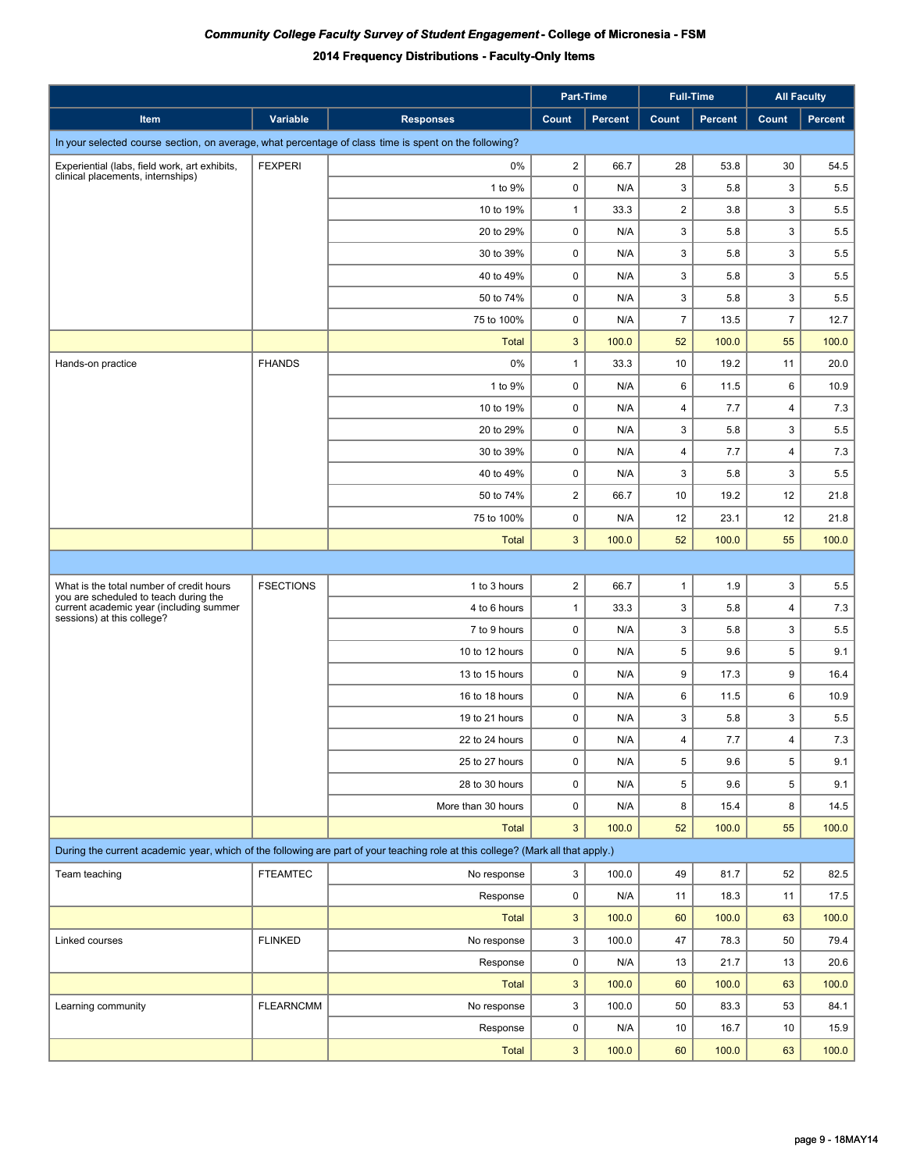|                                                                                                       |                  |                                                                                                                                 | Part-Time        |         |                         | <b>Full-Time</b> |                | <b>All Faculty</b> |  |  |
|-------------------------------------------------------------------------------------------------------|------------------|---------------------------------------------------------------------------------------------------------------------------------|------------------|---------|-------------------------|------------------|----------------|--------------------|--|--|
| Item                                                                                                  | Variable         | <b>Responses</b>                                                                                                                | Count            | Percent | Count                   | <b>Percent</b>   | Count          | <b>Percent</b>     |  |  |
| In your selected course section, on average, what percentage of class time is spent on the following? |                  |                                                                                                                                 |                  |         |                         |                  |                |                    |  |  |
| Experiential (labs, field work, art exhibits,                                                         | <b>FEXPERI</b>   | 0%                                                                                                                              | $\overline{2}$   | 66.7    | 28                      | 53.8             | 30             | 54.5               |  |  |
| clinical placements, internships)                                                                     |                  | 1 to 9%                                                                                                                         | 0                | N/A     | 3                       | 5.8              | 3              | 5.5                |  |  |
|                                                                                                       |                  | 10 to 19%                                                                                                                       | $\mathbf{1}$     | 33.3    | $\overline{\mathbf{c}}$ | 3.8              | 3              | 5.5                |  |  |
|                                                                                                       |                  | 20 to 29%                                                                                                                       | 0                | N/A     | 3                       | 5.8              | 3              | 5.5                |  |  |
|                                                                                                       |                  | 30 to 39%                                                                                                                       | 0                | N/A     | 3                       | 5.8              | 3              | 5.5                |  |  |
|                                                                                                       |                  | 40 to 49%                                                                                                                       | $\pmb{0}$        | N/A     | 3                       | 5.8              | 3              | 5.5                |  |  |
|                                                                                                       |                  | 50 to 74%                                                                                                                       | $\pmb{0}$        | N/A     | 3                       | 5.8              | 3              | 5.5                |  |  |
|                                                                                                       |                  | 75 to 100%                                                                                                                      | $\pmb{0}$        | N/A     | $\overline{7}$          | 13.5             | $\overline{7}$ | 12.7               |  |  |
|                                                                                                       |                  | <b>Total</b>                                                                                                                    | $\mathbf{3}$     | 100.0   | 52                      | 100.0            | 55             | 100.0              |  |  |
| Hands-on practice                                                                                     | <b>FHANDS</b>    | 0%                                                                                                                              | $\mathbf{1}$     | 33.3    | 10                      | 19.2             | 11             | 20.0               |  |  |
|                                                                                                       |                  | 1 to 9%                                                                                                                         | $\pmb{0}$        | N/A     | 6                       | 11.5             | 6              | 10.9               |  |  |
|                                                                                                       |                  | 10 to 19%                                                                                                                       | 0                | N/A     | 4                       | 7.7              | $\overline{4}$ | 7.3                |  |  |
|                                                                                                       |                  | 20 to 29%                                                                                                                       | 0                | N/A     | 3                       | 5.8              | 3              | 5.5                |  |  |
|                                                                                                       |                  | 30 to 39%                                                                                                                       | 0                | N/A     | 4                       | 7.7              | $\overline{4}$ | 7.3                |  |  |
|                                                                                                       |                  | 40 to 49%                                                                                                                       | 0                | N/A     | 3                       | 5.8              | 3              | 5.5                |  |  |
|                                                                                                       |                  | 50 to 74%                                                                                                                       | $\overline{2}$   | 66.7    | 10                      | 19.2             | 12             | 21.8               |  |  |
|                                                                                                       |                  | 75 to 100%                                                                                                                      | 0                | N/A     | 12                      | 23.1             | 12             | 21.8               |  |  |
|                                                                                                       |                  | <b>Total</b>                                                                                                                    | 3                | 100.0   | 52                      | 100.0            | 55             | 100.0              |  |  |
|                                                                                                       |                  |                                                                                                                                 |                  |         |                         |                  |                |                    |  |  |
| What is the total number of credit hours<br>you are scheduled to teach during the                     | <b>FSECTIONS</b> | 1 to 3 hours                                                                                                                    | $\boldsymbol{2}$ | 66.7    | 1                       | 1.9              | 3              | 5.5                |  |  |
| current academic year (including summer<br>sessions) at this college?                                 |                  | 4 to 6 hours                                                                                                                    | $\mathbf{1}$     | 33.3    | 3                       | 5.8              | $\overline{4}$ | 7.3                |  |  |
|                                                                                                       |                  | 7 to 9 hours                                                                                                                    | $\pmb{0}$        | N/A     | 3                       | 5.8              | 3              | 5.5                |  |  |
|                                                                                                       |                  | 10 to 12 hours                                                                                                                  | $\pmb{0}$        | N/A     | 5                       | 9.6              | 5              | 9.1                |  |  |
|                                                                                                       |                  | 13 to 15 hours                                                                                                                  | 0                | N/A     | 9                       | 17.3             | 9              | 16.4               |  |  |
|                                                                                                       |                  | 16 to 18 hours                                                                                                                  | 0                | N/A     | 6                       | 11.5             | 6              | 10.9               |  |  |
|                                                                                                       |                  | 19 to 21 hours                                                                                                                  | 0                | N/A     | 3                       | 5.8              | 3              | 5.5                |  |  |
|                                                                                                       |                  | 22 to 24 hours                                                                                                                  | $\mathbf 0$      | N/A     | 4                       | 7.7              | $\overline{4}$ | 7.3                |  |  |
|                                                                                                       |                  | 25 to 27 hours                                                                                                                  | 0                | N/A     | 5                       | 9.6              | 5              | 9.1                |  |  |
|                                                                                                       |                  | 28 to 30 hours                                                                                                                  | $\pmb{0}$        | N/A     | 5                       | 9.6              | 5              | 9.1                |  |  |
|                                                                                                       |                  | More than 30 hours                                                                                                              | $\pmb{0}$        | N/A     | 8                       | 15.4             | 8              | 14.5               |  |  |
|                                                                                                       |                  | <b>Total</b>                                                                                                                    | 3                | 100.0   | 52                      | 100.0            | 55             | 100.0              |  |  |
|                                                                                                       |                  | During the current academic year, which of the following are part of your teaching role at this college? (Mark all that apply.) |                  |         |                         |                  |                |                    |  |  |
| Team teaching                                                                                         | <b>FTEAMTEC</b>  | No response                                                                                                                     | 3                | 100.0   | 49                      | 81.7             | 52             | 82.5               |  |  |
|                                                                                                       |                  | Response                                                                                                                        | 0                | N/A     | 11                      | 18.3             | 11             | 17.5               |  |  |
|                                                                                                       |                  | <b>Total</b>                                                                                                                    | $\mathbf{3}$     | 100.0   | 60                      | 100.0            | 63             | 100.0              |  |  |
| Linked courses                                                                                        | <b>FLINKED</b>   | No response                                                                                                                     | 3                | 100.0   | 47                      | 78.3             | 50             | 79.4               |  |  |
|                                                                                                       |                  | Response                                                                                                                        | $\pmb{0}$        | N/A     | 13                      | 21.7             | 13             | 20.6               |  |  |
|                                                                                                       |                  | <b>Total</b>                                                                                                                    | $\mathbf{3}$     | 100.0   | 60                      | 100.0            | 63             | 100.0              |  |  |
| Learning community                                                                                    | <b>FLEARNCMM</b> | No response                                                                                                                     | 3                | 100.0   | 50                      | 83.3             | 53             | 84.1               |  |  |
|                                                                                                       |                  | Response                                                                                                                        | 0                | N/A     | 10                      | 16.7             | 10             | 15.9               |  |  |
|                                                                                                       |                  | <b>Total</b>                                                                                                                    | $\mathbf{3}$     | 100.0   | 60                      | 100.0            | 63             | 100.0              |  |  |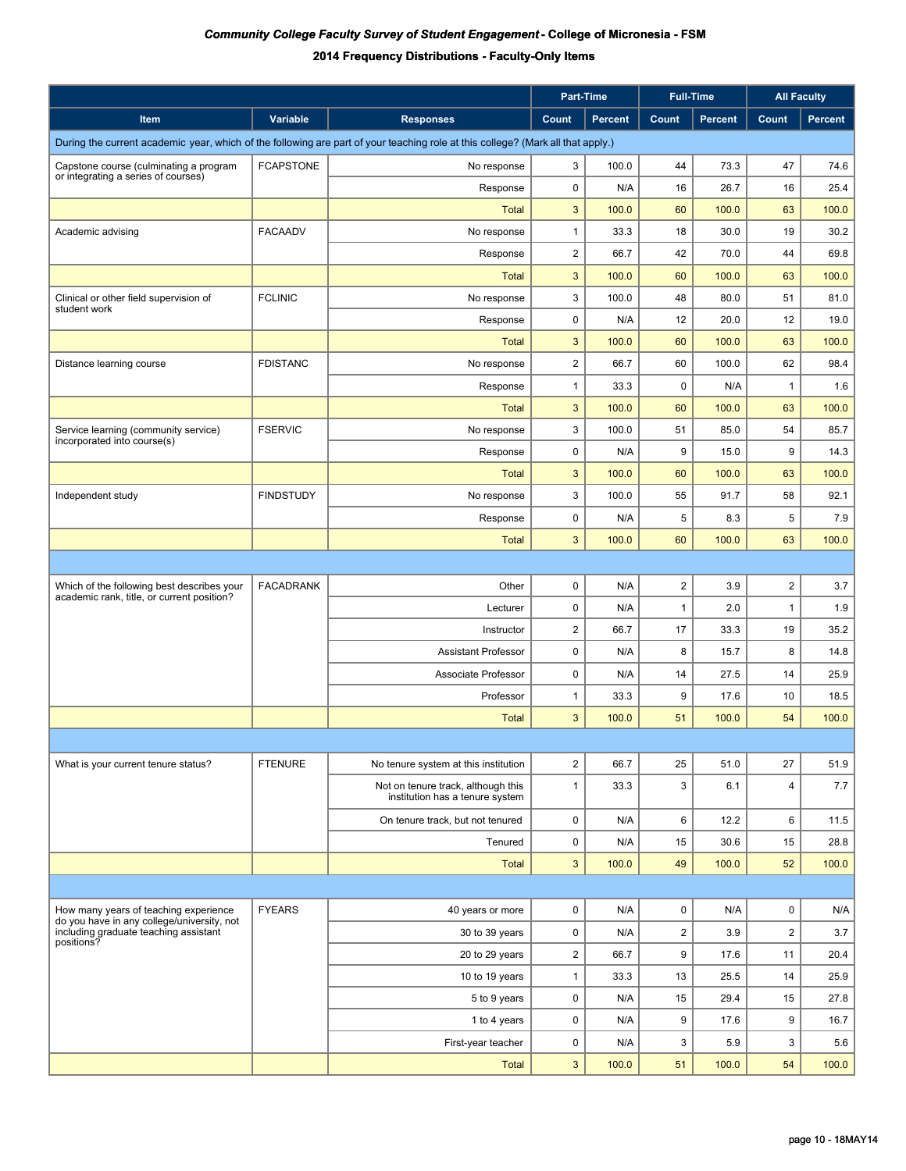|                                                                                     |                  |                                                                                                                                 |                | Part-Time      | <b>Full-Time</b>        |                |                         | <b>All Faculty</b> |  |  |
|-------------------------------------------------------------------------------------|------------------|---------------------------------------------------------------------------------------------------------------------------------|----------------|----------------|-------------------------|----------------|-------------------------|--------------------|--|--|
| Item                                                                                | Variable         | <b>Responses</b>                                                                                                                | Count          | <b>Percent</b> | Count                   | <b>Percent</b> | Count                   | Percent            |  |  |
|                                                                                     |                  | During the current academic year, which of the following are part of your teaching role at this college? (Mark all that apply.) |                |                |                         |                |                         |                    |  |  |
| Capstone course (culminating a program                                              | <b>FCAPSTONE</b> | No response                                                                                                                     | 3              | 100.0          | 44                      | 73.3           | 47                      | 74.6               |  |  |
| or integrating a series of courses)                                                 |                  | Response                                                                                                                        | 0              | N/A            | 16                      | 26.7           | 16                      | 25.4               |  |  |
|                                                                                     |                  | <b>Total</b>                                                                                                                    | 3              | 100.0          | 60                      | 100.0          | 63                      | 100.0              |  |  |
| Academic advising                                                                   | <b>FACAADV</b>   | No response                                                                                                                     | $\mathbf{1}$   | 33.3           | 18                      | 30.0           | 19                      | 30.2               |  |  |
|                                                                                     |                  | Response                                                                                                                        | $\overline{c}$ | 66.7           | 42                      | 70.0           | 44                      | 69.8               |  |  |
|                                                                                     |                  | <b>Total</b>                                                                                                                    | 3              | 100.0          | 60                      | 100.0          | 63                      | 100.0              |  |  |
| Clinical or other field supervision of<br>student work                              | <b>FCLINIC</b>   | No response                                                                                                                     | 3              | 100.0          | 48                      | 80.0           | 51                      | 81.0               |  |  |
|                                                                                     |                  | Response                                                                                                                        | 0              | N/A            | 12                      | 20.0           | 12                      | 19.0               |  |  |
|                                                                                     |                  | <b>Total</b>                                                                                                                    | 3              | 100.0          | 60                      | 100.0          | 63                      | 100.0              |  |  |
| Distance learning course                                                            | <b>FDISTANC</b>  | No response                                                                                                                     | $\overline{c}$ | 66.7           | 60                      | 100.0          | 62                      | 98.4               |  |  |
|                                                                                     |                  | Response                                                                                                                        | $\mathbf{1}$   | 33.3           | 0                       | N/A            | $\mathbf{1}$            | 1.6                |  |  |
|                                                                                     |                  | <b>Total</b>                                                                                                                    | 3              | 100.0          | 60                      | 100.0          | 63                      | 100.0              |  |  |
| Service learning (community service)<br>incorporated into course(s)                 | <b>FSERVIC</b>   | No response                                                                                                                     | 3              | 100.0          | 51                      | 85.0           | 54                      | 85.7               |  |  |
|                                                                                     |                  | Response                                                                                                                        | 0              | N/A            | 9                       | 15.0           | 9                       | 14.3               |  |  |
|                                                                                     |                  | <b>Total</b>                                                                                                                    | 3              | 100.0          | 60                      | 100.0          | 63                      | 100.0              |  |  |
| Independent study                                                                   | <b>FINDSTUDY</b> | No response                                                                                                                     | 3              | 100.0          | 55                      | 91.7           | 58                      | 92.1               |  |  |
|                                                                                     |                  | Response                                                                                                                        | 0              | N/A            | 5                       | 8.3            | 5                       | 7.9                |  |  |
|                                                                                     |                  | <b>Total</b>                                                                                                                    | 3              | 100.0          | 60                      | 100.0          | 63                      | 100.0              |  |  |
|                                                                                     |                  |                                                                                                                                 |                |                |                         |                |                         |                    |  |  |
| Which of the following best describes your                                          | <b>FACADRANK</b> | Other                                                                                                                           | 0              | N/A            | $\overline{\mathbf{c}}$ | 3.9            | $\overline{\mathbf{c}}$ | 3.7                |  |  |
| academic rank, title, or current position?                                          |                  | Lecturer                                                                                                                        | 0              | N/A            | $\mathbf{1}$            | 2.0            | $\mathbf{1}$            | 1.9                |  |  |
|                                                                                     |                  | Instructor                                                                                                                      | $\overline{c}$ | 66.7           | 17                      | 33.3           | 19                      | 35.2               |  |  |
|                                                                                     |                  | <b>Assistant Professor</b>                                                                                                      | 0              | N/A            | 8                       | 15.7           | 8                       | 14.8               |  |  |
|                                                                                     |                  | Associate Professor                                                                                                             | 0              | N/A            | 14                      | 27.5           | 14                      | 25.9               |  |  |
|                                                                                     |                  | Professor                                                                                                                       | $\mathbf{1}$   | 33.3           | 9                       | 17.6           | 10                      | 18.5               |  |  |
|                                                                                     |                  | <b>Total</b>                                                                                                                    | 3              | 100.0          | 51                      | 100.0          | 54                      | 100.0              |  |  |
|                                                                                     |                  |                                                                                                                                 |                |                |                         |                |                         |                    |  |  |
| What is your current tenure status?                                                 | <b>FTENURE</b>   | No tenure system at this institution                                                                                            | $\overline{2}$ | 66.7           | 25                      | 51.0           | 27                      | 51.9               |  |  |
|                                                                                     |                  | Not on tenure track, although this<br>institution has a tenure system                                                           | $\mathbf{1}$   | 33.3           | 3                       | 6.1            | 4                       | 7.7                |  |  |
|                                                                                     |                  | On tenure track, but not tenured                                                                                                | 0              | N/A            | 6                       | 12.2           | 6                       | 11.5               |  |  |
|                                                                                     |                  | Tenured                                                                                                                         | 0              | N/A            | 15                      | 30.6           | 15                      | 28.8               |  |  |
|                                                                                     |                  | <b>Total</b>                                                                                                                    | 3              | 100.0          | 49                      | 100.0          | 52                      | 100.0              |  |  |
|                                                                                     |                  |                                                                                                                                 |                |                |                         |                |                         |                    |  |  |
| How many years of teaching experience                                               | <b>FYEARS</b>    | 40 years or more                                                                                                                | $\pmb{0}$      | N/A            | 0                       | N/A            | $\pmb{0}$               | N/A                |  |  |
| do you have in any college/university, not<br>including graduate teaching assistant |                  | 30 to 39 years                                                                                                                  | 0              | N/A            | $\overline{\mathbf{c}}$ | 3.9            | $\overline{c}$          | 3.7                |  |  |
| positions?                                                                          |                  | 20 to 29 years                                                                                                                  | $\overline{2}$ | 66.7           | 9                       | 17.6           | 11                      | 20.4               |  |  |
|                                                                                     |                  | 10 to 19 years                                                                                                                  | $\mathbf{1}$   | 33.3           | 13                      | 25.5           | 14                      | 25.9               |  |  |
|                                                                                     |                  | 5 to 9 years                                                                                                                    | 0              | N/A            | 15                      | 29.4           | 15                      | 27.8               |  |  |
|                                                                                     |                  | 1 to 4 years                                                                                                                    | 0              | N/A            | 9                       | 17.6           | 9                       | 16.7               |  |  |
|                                                                                     |                  | First-year teacher                                                                                                              | 0              | N/A            | 3                       | 5.9            | 3                       | 5.6                |  |  |
|                                                                                     |                  | <b>Total</b>                                                                                                                    | 3              | 100.0          | 51                      | 100.0          | 54                      | 100.0              |  |  |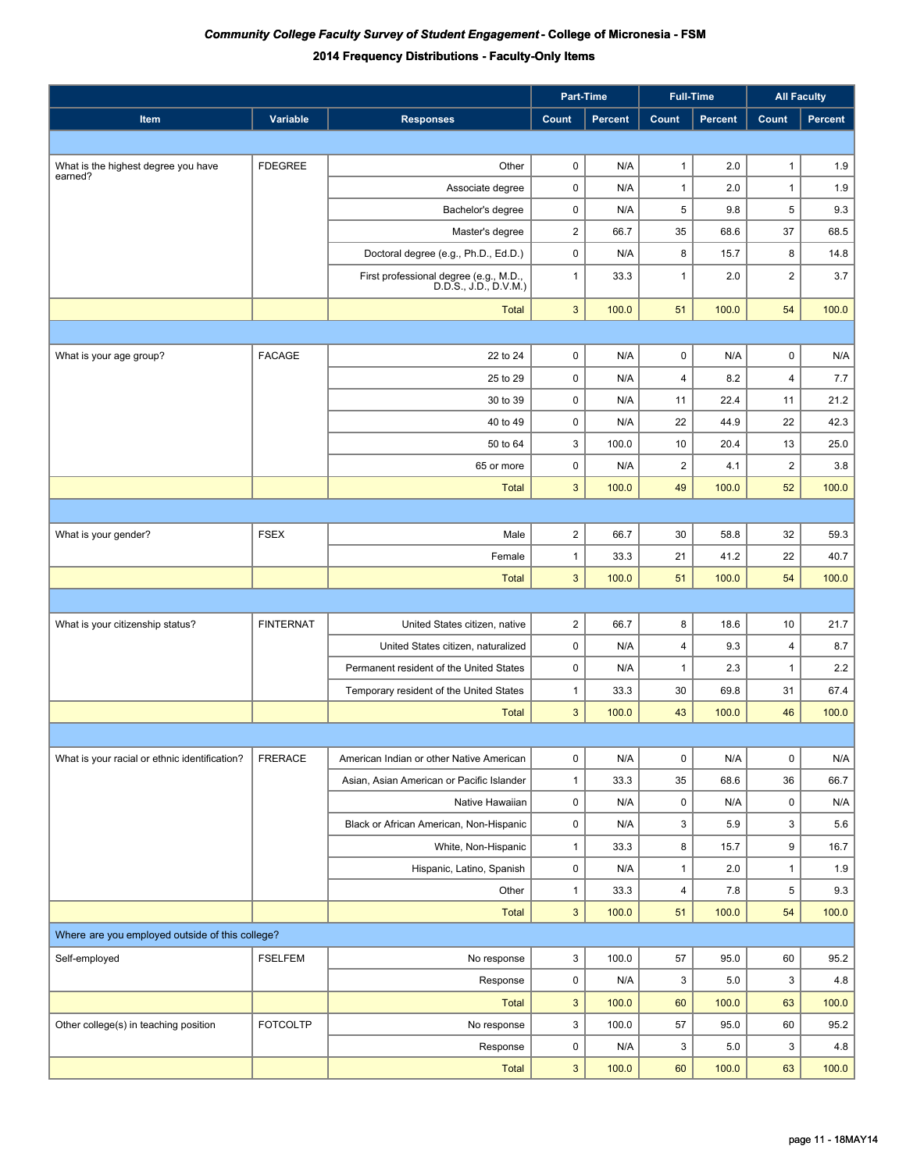|                                                 |                  |                                                                 |                         | Part-Time      | <b>Full-Time</b>        |                | <b>All Faculty</b> |         |
|-------------------------------------------------|------------------|-----------------------------------------------------------------|-------------------------|----------------|-------------------------|----------------|--------------------|---------|
| Item                                            | Variable         | <b>Responses</b>                                                | Count                   | <b>Percent</b> | Count                   | <b>Percent</b> | Count              | Percent |
|                                                 |                  |                                                                 |                         |                |                         |                |                    |         |
| What is the highest degree you have             | <b>FDEGREE</b>   | Other                                                           | 0                       | N/A            | $\mathbf{1}$            | 2.0            | $\mathbf{1}$       | 1.9     |
| earned?                                         |                  | Associate degree                                                | $\pmb{0}$               | N/A            | $\mathbf{1}$            | 2.0            | $\mathbf{1}$       | 1.9     |
|                                                 |                  | Bachelor's degree                                               | $\pmb{0}$               | N/A            | 5                       | 9.8            | 5                  | 9.3     |
|                                                 |                  | Master's degree                                                 | $\overline{\mathbf{c}}$ | 66.7           | 35                      | 68.6           | 37                 | 68.5    |
|                                                 |                  | Doctoral degree (e.g., Ph.D., Ed.D.)                            | $\pmb{0}$               | N/A            | 8                       | 15.7           | 8                  | 14.8    |
|                                                 |                  | First professional degree (e.g., M.D.,<br>D.D.S., J.D., D.V.M.) | $\mathbf{1}$            | 33.3           | $\mathbf{1}$            | 2.0            | $\overline{2}$     | 3.7     |
|                                                 |                  | <b>Total</b>                                                    | 3                       | 100.0          | 51                      | 100.0          | 54                 | 100.0   |
|                                                 |                  |                                                                 |                         |                |                         |                |                    |         |
| What is your age group?                         | <b>FACAGE</b>    | 22 to 24                                                        | $\pmb{0}$               | N/A            | $\pmb{0}$               | N/A            | $\mathsf 0$        | N/A     |
|                                                 |                  | 25 to 29                                                        | $\pmb{0}$               | N/A            | $\overline{\mathbf{4}}$ | 8.2            | $\overline{4}$     | 7.7     |
|                                                 |                  | 30 to 39                                                        | $\pmb{0}$               | N/A            | 11                      | 22.4           | 11                 | 21.2    |
|                                                 |                  | 40 to 49                                                        | $\pmb{0}$               | N/A            | 22                      | 44.9           | 22                 | 42.3    |
|                                                 |                  | 50 to 64                                                        | 3                       | 100.0          | 10                      | 20.4           | 13                 | 25.0    |
|                                                 |                  | 65 or more                                                      | 0                       | N/A            | $\overline{2}$          | 4.1            | $\overline{2}$     | 3.8     |
|                                                 |                  | <b>Total</b>                                                    | 3                       | 100.0          | 49                      | 100.0          | 52                 | 100.0   |
|                                                 |                  |                                                                 |                         |                |                         |                |                    |         |
| What is your gender?                            | <b>FSEX</b>      | Male                                                            | $\overline{\mathbf{c}}$ | 66.7           | 30                      | 58.8           | 32                 | 59.3    |
|                                                 |                  | Female                                                          | 1                       | 33.3           | 21                      | 41.2           | 22                 | 40.7    |
|                                                 |                  | <b>Total</b>                                                    | 3                       | 100.0          | 51                      | 100.0          | 54                 | 100.0   |
|                                                 |                  |                                                                 |                         |                |                         |                |                    |         |
| What is your citizenship status?                | <b>FINTERNAT</b> | United States citizen, native                                   | $\overline{2}$          | 66.7           | 8                       | 18.6           | 10                 | 21.7    |
|                                                 |                  | United States citizen, naturalized                              | 0                       | N/A            | $\overline{\mathbf{4}}$ | 9.3            | $\overline{4}$     | 8.7     |
|                                                 |                  | Permanent resident of the United States                         | 0                       | N/A            | $\mathbf{1}$            | 2.3            | $\mathbf{1}$       | 2.2     |
|                                                 |                  | Temporary resident of the United States                         | 1                       | 33.3           | 30                      | 69.8           | 31                 | 67.4    |
|                                                 |                  | <b>Total</b>                                                    | 3                       | 100.0          | 43                      | 100.0          | 46                 | 100.0   |
|                                                 |                  |                                                                 |                         |                |                         |                |                    |         |
| What is your racial or ethnic identification?   | <b>FRERACE</b>   | American Indian or other Native American                        | 0                       | N/A            | $\pmb{0}$               | N/A            | 0                  | N/A     |
|                                                 |                  | Asian, Asian American or Pacific Islander                       | $\mathbf{1}$            | 33.3           | 35                      | 68.6           | 36                 | 66.7    |
|                                                 |                  | Native Hawaiian                                                 | $\pmb{0}$               | N/A            | $\pmb{0}$               | N/A            | $\pmb{0}$          | N/A     |
|                                                 |                  | Black or African American, Non-Hispanic                         | 0                       | N/A            | 3                       | 5.9            | 3                  | 5.6     |
|                                                 |                  | White, Non-Hispanic                                             | 1                       | 33.3           | 8                       | 15.7           | 9                  | 16.7    |
|                                                 |                  | Hispanic, Latino, Spanish                                       | 0                       | N/A            | $\mathbf{1}$            | 2.0            | $\mathbf{1}$       | 1.9     |
|                                                 |                  | Other                                                           | $\mathbf{1}$            | 33.3           | 4                       | 7.8            | 5                  | 9.3     |
|                                                 |                  | <b>Total</b>                                                    | 3                       | 100.0          | 51                      | 100.0          | 54                 | 100.0   |
| Where are you employed outside of this college? |                  |                                                                 |                         |                |                         |                |                    |         |
| Self-employed                                   | <b>FSELFEM</b>   | No response                                                     | 3                       | 100.0          | 57                      | 95.0           | 60                 | 95.2    |
|                                                 |                  | Response                                                        | 0                       | N/A            | 3                       | 5.0            | 3                  | 4.8     |
|                                                 |                  | <b>Total</b>                                                    | $\mathbf{3}$            | 100.0          | 60                      | 100.0          | 63                 | 100.0   |
| Other college(s) in teaching position           | <b>FOTCOLTP</b>  | No response                                                     | 3                       | 100.0          | 57                      | 95.0           | 60                 | 95.2    |
|                                                 |                  | Response                                                        | 0                       | N/A            | 3                       | 5.0            | 3                  | 4.8     |
|                                                 |                  | <b>Total</b>                                                    | 3                       | 100.0          | 60                      | 100.0          | 63                 | 100.0   |